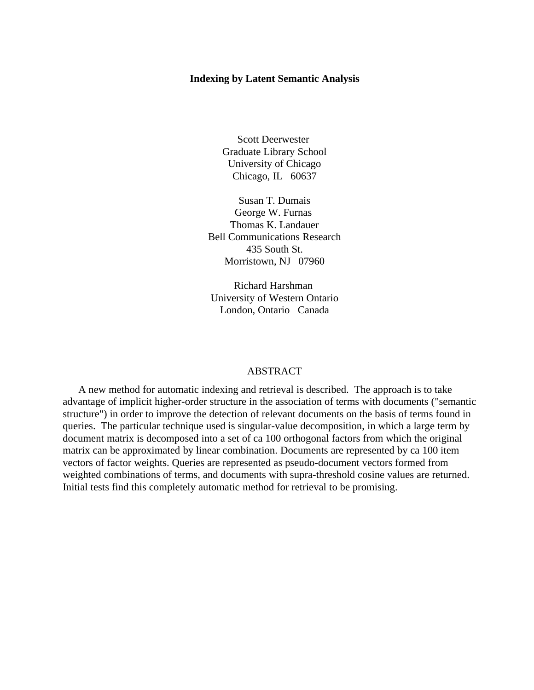### **Indexing by Latent Semantic Analysis**

Scott Deerwester Graduate Library School University of Chicago Chicago, IL 60637

Susan T. Dumais George W. Furnas Thomas K. Landauer Bell Communications Research 435 South St. Morristown, NJ 07960

Richard Harshman University of Western Ontario London, Ontario Canada

### **ABSTRACT**

A new method for automatic indexing and retrieval is described. The approach is to take advantage of implicit higher-order structure in the association of terms with documents ("semantic structure") in order to improve the detection of relevant documents on the basis of terms found in queries. The particular technique used is singular-value decomposition, in which a large term by document matrix is decomposed into a set of ca 100 orthogonal factors from which the original matrix can be approximated by linear combination. Documents are represented by ca 100 item vectors of factor weights. Queries are represented as pseudo-document vectors formed from weighted combinations of terms, and documents with supra-threshold cosine values are returned. Initial tests find this completely automatic method for retrieval to be promising.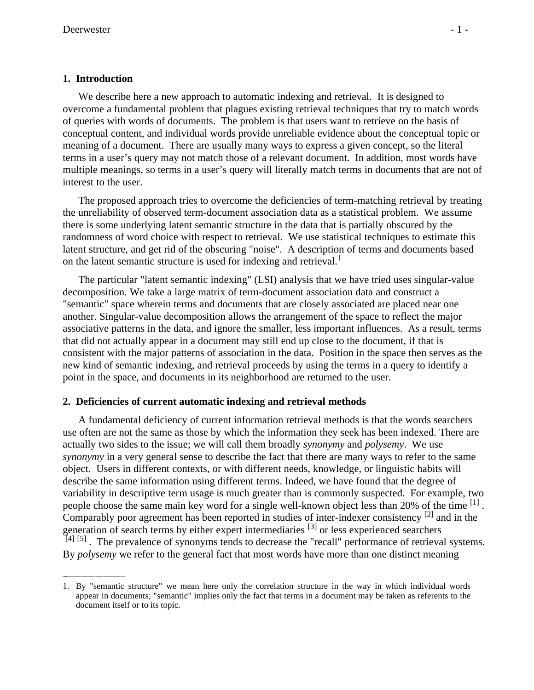## **1. Introduction**

hhhhhhhhhhhhhhh

We describe here a new approach to automatic indexing and retrieval. It is designed to overcome a fundamental problem that plagues existing retrieval techniques that try to match words of queries with words of documents. The problem is that users want to retrieve on the basis of conceptual content, and individual words provide unreliable evidence about the conceptual topic or meaning of a document. There are usually many ways to express a given concept, so the literal terms in a user's query may not match those of a relevant document. In addition, most words have multiple meanings, so terms in a user's query will literally match terms in documents that are not of interest to the user.

The proposed approach tries to overcome the deficiencies of term-matching retrieval by treating the unreliability of observed term-document association data as a statistical problem. We assume there is some underlying latent semantic structure in the data that is partially obscured by the randomness of word choice with respect to retrieval. We use statistical techniques to estimate this latent structure, and get rid of the obscuring "noise". A description of terms and documents based on the latent semantic structure is used for indexing and retrieval.<sup>1</sup>

The particular "latent semantic indexing" (LSI) analysis that we have tried uses singular-value decomposition. We take a large matrix of term-document association data and construct a "semantic" space wherein terms and documents that are closely associated are placed near one another. Singular-value decomposition allows the arrangement of the space to reflect the major associative patterns in the data, and ignore the smaller, less important influences. As a result, terms that did not actually appear in a document may still end up close to the document, if that is consistent with the major patterns of association in the data. Position in the space then serves as the new kind of semantic indexing, and retrieval proceeds by using the terms in a query to identify a point in the space, and documents in its neighborhood are returned to the user.

## **2. Deficiencies of current automatic indexing and retrieval methods**

A fundamental deficiency of current information retrieval methods is that the words searchers use often are not the same as those by which the information they seek has been indexed. There are actually two sides to the issue; we will call them broadly *synonymy* and *polysemy*. We use *synonymy* in a very general sense to describe the fact that there are many ways to refer to the same object. Users in different contexts, or with different needs, knowledge, or linguistic habits will describe the same information using different terms. Indeed, we have found that the degree of variability in descriptive term usage is much greater than is commonly suspected. For example, two people choose the same main key word for a single well-known object less than 20% of the time <sup>[1]</sup>. Comparably poor agreement has been reported in studies of inter-indexer consistency  $^{[2]}$  and in the generation of search terms by either expert intermediaries [3] or less experienced searchers  $[4]$  [5]. The prevalence of synonyms tends to decrease the "recall" performance of retrieval systems. By *polysemy* we refer to the general fact that most words have more than one distinct meaning

<sup>1.</sup> By "semantic structure" we mean here only the correlation structure in the way in which individual words appear in documents; "semantic" implies only the fact that terms in a document may be taken as referents to the document itself or to its topic.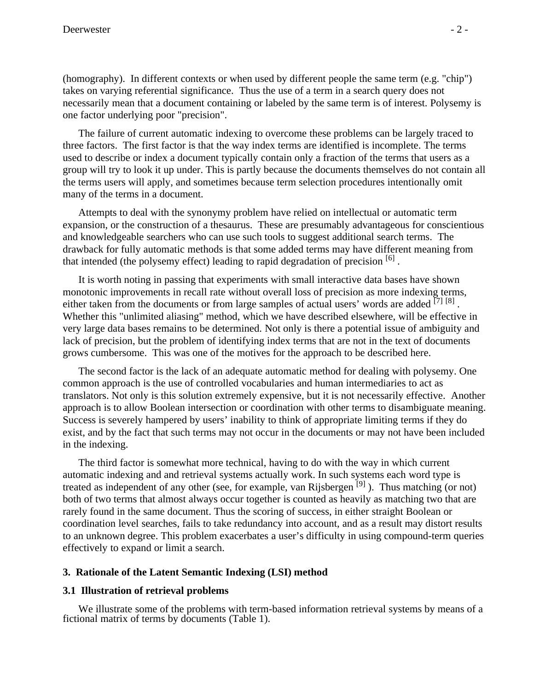(homography). In different contexts or when used by different people the same term (e.g. "chip") takes on varying referential significance. Thus the use of a term in a search query does not necessarily mean that a document containing or labeled by the same term is of interest. Polysemy is one factor underlying poor "precision".

The failure of current automatic indexing to overcome these problems can be largely traced to three factors. The first factor is that the way index terms are identified is incomplete. The terms used to describe or index a document typically contain only a fraction of the terms that users as a group will try to look it up under. This is partly because the documents themselves do not contain all the terms users will apply, and sometimes because term selection procedures intentionally omit many of the terms in a document.

Attempts to deal with the synonymy problem have relied on intellectual or automatic term expansion, or the construction of a thesaurus. These are presumably advantageous for conscientious and knowledgeable searchers who can use such tools to suggest additional search terms. The drawback for fully automatic methods is that some added terms may have different meaning from that intended (the polysemy effect) leading to rapid degradation of precision  $\left[6\right]$ .

It is worth noting in passing that experiments with small interactive data bases have shown monotonic improvements in recall rate without overall loss of precision as more indexing terms, either taken from the documents or from large samples of actual users' words are added [7] [8]. Whether this "unlimited aliasing" method, which we have described elsewhere, will be effective in very large data bases remains to be determined. Not only is there a potential issue of ambiguity and lack of precision, but the problem of identifying index terms that are not in the text of documents grows cumbersome. This was one of the motives for the approach to be described here.

The second factor is the lack of an adequate automatic method for dealing with polysemy. One common approach is the use of controlled vocabularies and human intermediaries to act as translators. Not only is this solution extremely expensive, but it is not necessarily effective. Another approach is to allow Boolean intersection or coordination with other terms to disambiguate meaning. Success is severely hampered by users' inability to think of appropriate limiting terms if they do exist, and by the fact that such terms may not occur in the documents or may not have been included in the indexing.

The third factor is somewhat more technical, having to do with the way in which current automatic indexing and and retrieval systems actually work. In such systems each word type is treated as independent of any other (see, for example, van Rijsbergen  $^{[9]}$ ). Thus matching (or not) both of two terms that almost always occur together is counted as heavily as matching two that are rarely found in the same document. Thus the scoring of success, in either straight Boolean or coordination level searches, fails to take redundancy into account, and as a result may distort results to an unknown degree. This problem exacerbates a user's difficulty in using compound-term queries effectively to expand or limit a search.

## **3. Rationale of the Latent Semantic Indexing (LSI) method**

## **3.1 Illustration of retrieval problems**

We illustrate some of the problems with term-based information retrieval systems by means of a fictional matrix of terms by documents (Table 1).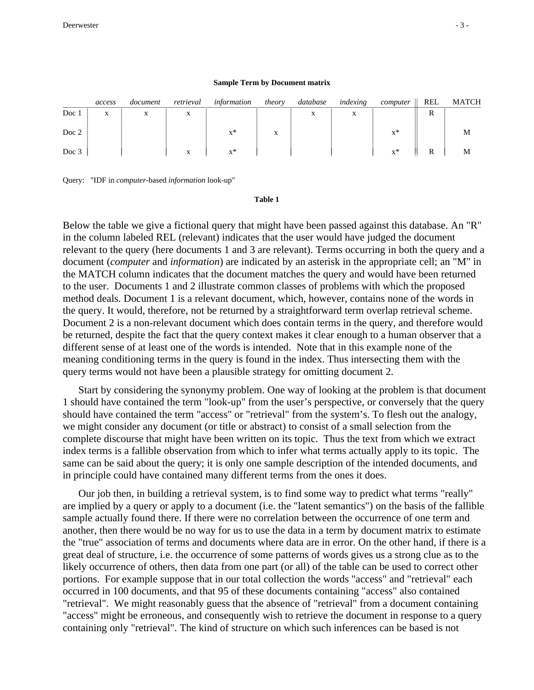#### **Sample Term by Document matrix**

|       | access | document | retrieval | information | theory | database | indexing | computer       | <b>REL</b> | <b>MATCH</b> |
|-------|--------|----------|-----------|-------------|--------|----------|----------|----------------|------------|--------------|
| Doc 1 |        |          |           |             |        |          |          |                |            |              |
| Doc 2 |        |          |           | $x^*$       |        |          |          | v*             |            | М            |
| Doc 3 |        |          |           | $x^*$       |        |          |          | $\mathbf{x}^*$ |            | M            |

Query: "IDF in *computer*-based *information* look-up"

#### **Table 1**

Below the table we give a fictional query that might have been passed against this database. An "R" in the column labeled REL (relevant) indicates that the user would have judged the document relevant to the query (here documents 1 and 3 are relevant). Terms occurring in both the query and a document (*computer* and *information*) are indicated by an asterisk in the appropriate cell; an "M" in the MATCH column indicates that the document matches the query and would have been returned to the user. Documents 1 and 2 illustrate common classes of problems with which the proposed method deals. Document 1 is a relevant document, which, however, contains none of the words in the query. It would, therefore, not be returned by a straightforward term overlap retrieval scheme. Document 2 is a non-relevant document which does contain terms in the query, and therefore would be returned, despite the fact that the query context makes it clear enough to a human observer that a different sense of at least one of the words is intended. Note that in this example none of the meaning conditioning terms in the query is found in the index. Thus intersecting them with the query terms would not have been a plausible strategy for omitting document 2.

Start by considering the synonymy problem. One way of looking at the problem is that document 1 should have contained the term "look-up" from the user's perspective, or conversely that the query should have contained the term "access" or "retrieval" from the system's. To flesh out the analogy, we might consider any document (or title or abstract) to consist of a small selection from the complete discourse that might have been written on its topic. Thus the text from which we extract index terms is a fallible observation from which to infer what terms actually apply to its topic. The same can be said about the query; it is only one sample description of the intended documents, and in principle could have contained many different terms from the ones it does.

Our job then, in building a retrieval system, is to find some way to predict what terms "really" are implied by a query or apply to a document (i.e. the "latent semantics") on the basis of the fallible sample actually found there. If there were no correlation between the occurrence of one term and another, then there would be no way for us to use the data in a term by document matrix to estimate the "true" association of terms and documents where data are in error. On the other hand, if there is a great deal of structure, i.e. the occurrence of some patterns of words gives us a strong clue as to the likely occurrence of others, then data from one part (or all) of the table can be used to correct other portions. For example suppose that in our total collection the words "access" and "retrieval" each occurred in 100 documents, and that 95 of these documents containing "access" also contained "retrieval". We might reasonably guess that the absence of "retrieval" from a document containing "access" might be erroneous, and consequently wish to retrieve the document in response to a query containing only "retrieval". The kind of structure on which such inferences can be based is not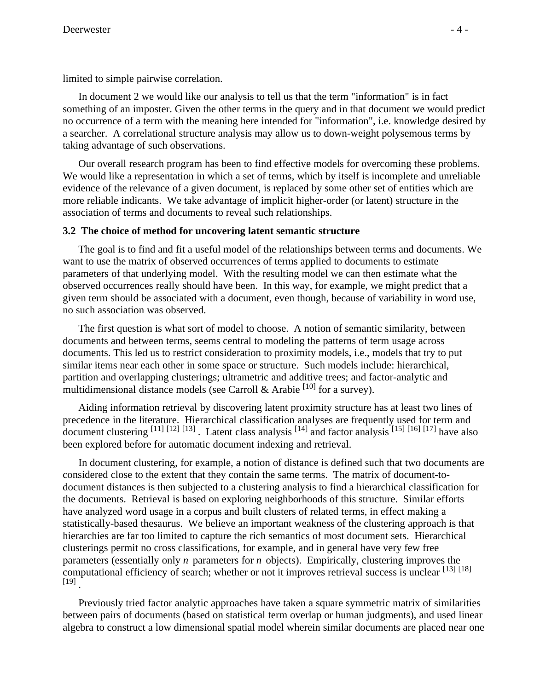limited to simple pairwise correlation.

In document 2 we would like our analysis to tell us that the term "information" is in fact something of an imposter. Given the other terms in the query and in that document we would predict no occurrence of a term with the meaning here intended for "information", i.e. knowledge desired by a searcher. A correlational structure analysis may allow us to down-weight polysemous terms by taking advantage of such observations.

Our overall research program has been to find effective models for overcoming these problems. We would like a representation in which a set of terms, which by itself is incomplete and unreliable evidence of the relevance of a given document, is replaced by some other set of entities which are more reliable indicants. We take advantage of implicit higher-order (or latent) structure in the association of terms and documents to reveal such relationships.

### **3.2 The choice of method for uncovering latent semantic structure**

The goal is to find and fit a useful model of the relationships between terms and documents. We want to use the matrix of observed occurrences of terms applied to documents to estimate parameters of that underlying model. With the resulting model we can then estimate what the observed occurrences really should have been. In this way, for example, we might predict that a given term should be associated with a document, even though, because of variability in word use, no such association was observed.

The first question is what sort of model to choose. A notion of semantic similarity, between documents and between terms, seems central to modeling the patterns of term usage across documents. This led us to restrict consideration to proximity models, i.e., models that try to put similar items near each other in some space or structure. Such models include: hierarchical, partition and overlapping clusterings; ultrametric and additive trees; and factor-analytic and multidimensional distance models (see Carroll  $\&$  Arabie  $^{[10]}$  for a survey).

Aiding information retrieval by discovering latent proximity structure has at least two lines of precedence in the literature. Hierarchical classification analyses are frequently used for term and document clustering  $[11]$   $[12]$   $[13]$ . Latent class analysis  $[14]$  and factor analysis  $[15]$   $[16]$   $[17]$  have also been explored before for automatic document indexing and retrieval.

In document clustering, for example, a notion of distance is defined such that two documents are considered close to the extent that they contain the same terms. The matrix of document-todocument distances is then subjected to a clustering analysis to find a hierarchical classification for the documents. Retrieval is based on exploring neighborhoods of this structure. Similar efforts have analyzed word usage in a corpus and built clusters of related terms, in effect making a statistically-based thesaurus. We believe an important weakness of the clustering approach is that hierarchies are far too limited to capture the rich semantics of most document sets. Hierarchical clusterings permit no cross classifications, for example, and in general have very few free parameters (essentially only *n* parameters for *n* objects). Empirically, clustering improves the computational efficiency of search; whether or not it improves retrieval success is unclear [13] [18] [19] .

Previously tried factor analytic approaches have taken a square symmetric matrix of similarities between pairs of documents (based on statistical term overlap or human judgments), and used linear algebra to construct a low dimensional spatial model wherein similar documents are placed near one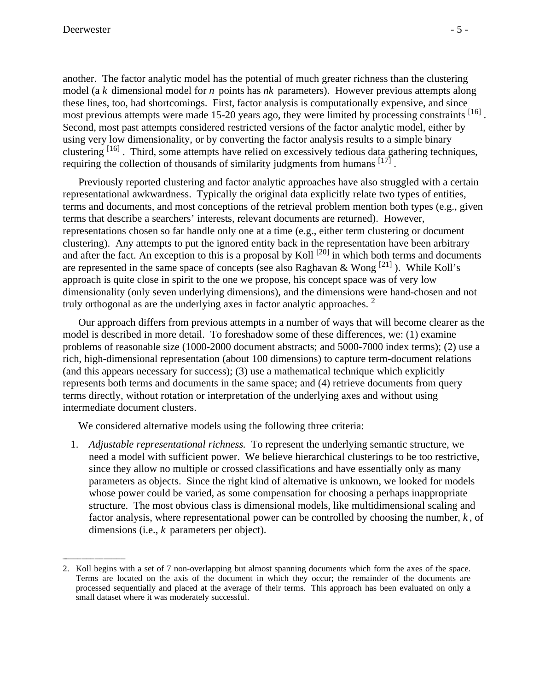hhhhhhhhhhhhhhh

another. The factor analytic model has the potential of much greater richness than the clustering model (a *k* dimensional model for *n* points has *nk* parameters). However previous attempts along these lines, too, had shortcomings. First, factor analysis is computationally expensive, and since most previous attempts were made 15-20 years ago, they were limited by processing constraints <sup>[16]</sup>. Second, most past attempts considered restricted versions of the factor analytic model, either by using very low dimensionality, or by converting the factor analysis results to a simple binary clustering <sup>[16]</sup>. Third, some attempts have relied on excessively tedious data gathering techniques, requiring the collection of thousands of similarity judgments from humans  $[17]$ .

Previously reported clustering and factor analytic approaches have also struggled with a certain representational awkwardness. Typically the original data explicitly relate two types of entities, terms and documents, and most conceptions of the retrieval problem mention both types (e.g., given terms that describe a searchers' interests, relevant documents are returned). However, representations chosen so far handle only one at a time (e.g., either term clustering or document clustering). Any attempts to put the ignored entity back in the representation have been arbitrary and after the fact. An exception to this is a proposal by Koll  $^{[20]}$  in which both terms and documents are represented in the same space of concepts (see also Raghavan & Wong  $[21]$ ). While Koll's approach is quite close in spirit to the one we propose, his concept space was of very low dimensionality (only seven underlying dimensions), and the dimensions were hand-chosen and not truly orthogonal as are the underlying axes in factor analytic approaches. <sup>2</sup>

Our approach differs from previous attempts in a number of ways that will become clearer as the model is described in more detail. To foreshadow some of these differences, we: (1) examine problems of reasonable size (1000-2000 document abstracts; and 5000-7000 index terms); (2) use a rich, high-dimensional representation (about 100 dimensions) to capture term-document relations (and this appears necessary for success); (3) use a mathematical technique which explicitly represents both terms and documents in the same space; and (4) retrieve documents from query terms directly, without rotation or interpretation of the underlying axes and without using intermediate document clusters.

We considered alternative models using the following three criteria:

1. *Adjustable representational richness.* To represent the underlying semantic structure, we need a model with sufficient power. We believe hierarchical clusterings to be too restrictive, since they allow no multiple or crossed classifications and have essentially only as many parameters as objects. Since the right kind of alternative is unknown, we looked for models whose power could be varied, as some compensation for choosing a perhaps inappropriate structure. The most obvious class is dimensional models, like multidimensional scaling and factor analysis, where representational power can be controlled by choosing the number, *k* , of dimensions (i.e., *k* parameters per object).

<sup>2.</sup> Koll begins with a set of 7 non-overlapping but almost spanning documents which form the axes of the space. Terms are located on the axis of the document in which they occur; the remainder of the documents are processed sequentially and placed at the average of their terms. This approach has been evaluated on only a small dataset where it was moderately successful.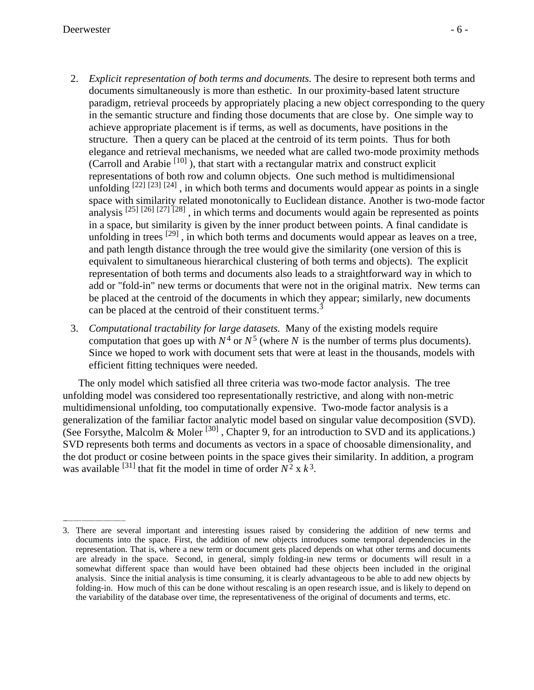hhhhhhhhhhhhhhh

- 2. *Explicit representation of both terms and documents.* The desire to represent both terms and documents simultaneously is more than esthetic. In our proximity-based latent structure paradigm, retrieval proceeds by appropriately placing a new object corresponding to the query in the semantic structure and finding those documents that are close by. One simple way to achieve appropriate placement is if terms, as well as documents, have positions in the structure. Then a query can be placed at the centroid of its term points. Thus for both elegance and retrieval mechanisms, we needed what are called two-mode proximity methods (Carroll and Arabie  $[10]$ ), that start with a rectangular matrix and construct explicit representations of both row and column objects. One such method is multidimensional unfolding  $[22]$   $[23]$   $[24]$ , in which both terms and documents would appear as points in a single space with similarity related monotonically to Euclidean distance. Another is two-mode factor analysis [25] [26] [27] [28] , in which terms and documents would again be represented as points in a space, but similarity is given by the inner product between points. A final candidate is unfolding in trees  $^{[29]}$ , in which both terms and documents would appear as leaves on a tree, and path length distance through the tree would give the similarity (one version of this is equivalent to simultaneous hierarchical clustering of both terms and objects). The explicit representation of both terms and documents also leads to a straightforward way in which to add or "fold-in" new terms or documents that were not in the original matrix. New terms can be placed at the centroid of the documents in which they appear; similarly, new documents can be placed at the centroid of their constituent terms.<sup>3</sup>
- 3. *Computational tractability for large datasets.* Many of the existing models require computation that goes up with  $N^4$  or  $N^5$  (where *N* is the number of terms plus documents). Since we hoped to work with document sets that were at least in the thousands, models with efficient fitting techniques were needed.

The only model which satisfied all three criteria was two-mode factor analysis. The tree unfolding model was considered too representationally restrictive, and along with non-metric multidimensional unfolding, too computationally expensive. Two-mode factor analysis is a generalization of the familiar factor analytic model based on singular value decomposition (SVD). (See Forsythe, Malcolm & Moler  $[30]$ , Chapter 9, for an introduction to SVD and its applications.) SVD represents both terms and documents as vectors in a space of choosable dimensionality, and the dot product or cosine between points in the space gives their similarity. In addition, a program was available <sup>[31]</sup> that fit the model in time of order  $N^2 \times k^3$ .

<sup>3.</sup> There are several important and interesting issues raised by considering the addition of new terms and documents into the space. First, the addition of new objects introduces some temporal dependencies in the representation. That is, where a new term or document gets placed depends on what other terms and documents are already in the space. Second, in general, simply folding-in new terms or documents will result in a somewhat different space than would have been obtained had these objects been included in the original analysis. Since the initial analysis is time consuming, it is clearly advantageous to be able to add new objects by folding-in. How much of this can be done without rescaling is an open research issue, and is likely to depend on the variability of the database over time, the representativeness of the original of documents and terms, etc.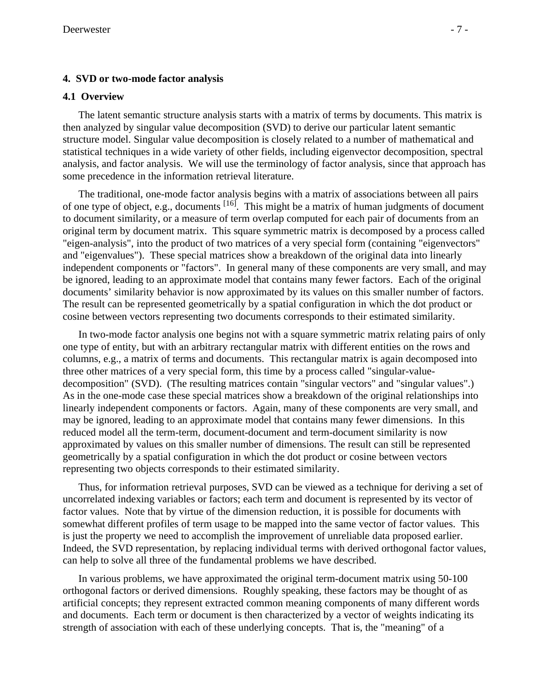## **4. SVD or two-mode factor analysis**

### **4.1 Overview**

The latent semantic structure analysis starts with a matrix of terms by documents. This matrix is then analyzed by singular value decomposition (SVD) to derive our particular latent semantic structure model. Singular value decomposition is closely related to a number of mathematical and statistical techniques in a wide variety of other fields, including eigenvector decomposition, spectral analysis, and factor analysis. We will use the terminology of factor analysis, since that approach has some precedence in the information retrieval literature.

The traditional, one-mode factor analysis begins with a matrix of associations between all pairs of one type of object, e.g., documents  $^{[16]}$ . This might be a matrix of human judgments of document to document similarity, or a measure of term overlap computed for each pair of documents from an original term by document matrix. This square symmetric matrix is decomposed by a process called "eigen-analysis", into the product of two matrices of a very special form (containing "eigenvectors" and "eigenvalues"). These special matrices show a breakdown of the original data into linearly independent components or "factors". In general many of these components are very small, and may be ignored, leading to an approximate model that contains many fewer factors. Each of the original documents' similarity behavior is now approximated by its values on this smaller number of factors. The result can be represented geometrically by a spatial configuration in which the dot product or cosine between vectors representing two documents corresponds to their estimated similarity.

In two-mode factor analysis one begins not with a square symmetric matrix relating pairs of only one type of entity, but with an arbitrary rectangular matrix with different entities on the rows and columns, e.g., a matrix of terms and documents. This rectangular matrix is again decomposed into three other matrices of a very special form, this time by a process called "singular-valuedecomposition" (SVD). (The resulting matrices contain "singular vectors" and "singular values".) As in the one-mode case these special matrices show a breakdown of the original relationships into linearly independent components or factors. Again, many of these components are very small, and may be ignored, leading to an approximate model that contains many fewer dimensions. In this reduced model all the term-term, document-document and term-document similarity is now approximated by values on this smaller number of dimensions. The result can still be represented geometrically by a spatial configuration in which the dot product or cosine between vectors representing two objects corresponds to their estimated similarity.

Thus, for information retrieval purposes, SVD can be viewed as a technique for deriving a set of uncorrelated indexing variables or factors; each term and document is represented by its vector of factor values. Note that by virtue of the dimension reduction, it is possible for documents with somewhat different profiles of term usage to be mapped into the same vector of factor values. This is just the property we need to accomplish the improvement of unreliable data proposed earlier. Indeed, the SVD representation, by replacing individual terms with derived orthogonal factor values, can help to solve all three of the fundamental problems we have described.

In various problems, we have approximated the original term-document matrix using 50-100 orthogonal factors or derived dimensions. Roughly speaking, these factors may be thought of as artificial concepts; they represent extracted common meaning components of many different words and documents. Each term or document is then characterized by a vector of weights indicating its strength of association with each of these underlying concepts. That is, the "meaning" of a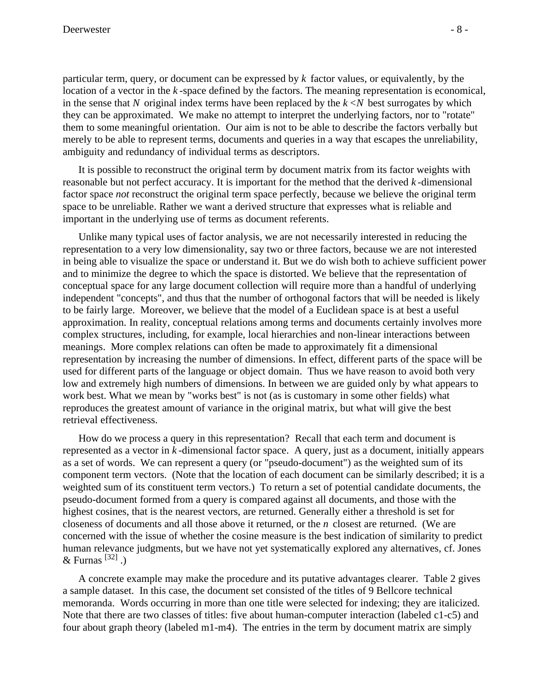particular term, query, or document can be expressed by *k* factor values, or equivalently, by the location of a vector in the *k* -space defined by the factors. The meaning representation is economical, in the sense that N original index terms have been replaced by the  $k < N$  best surrogates by which they can be approximated. We make no attempt to interpret the underlying factors, nor to "rotate" them to some meaningful orientation. Our aim is not to be able to describe the factors verbally but merely to be able to represent terms, documents and queries in a way that escapes the unreliability, ambiguity and redundancy of individual terms as descriptors.

It is possible to reconstruct the original term by document matrix from its factor weights with reasonable but not perfect accuracy. It is important for the method that the derived *k* -dimensional factor space *not* reconstruct the original term space perfectly, because we believe the original term space to be unreliable. Rather we want a derived structure that expresses what is reliable and important in the underlying use of terms as document referents.

Unlike many typical uses of factor analysis, we are not necessarily interested in reducing the representation to a very low dimensionality, say two or three factors, because we are not interested in being able to visualize the space or understand it. But we do wish both to achieve sufficient power and to minimize the degree to which the space is distorted. We believe that the representation of conceptual space for any large document collection will require more than a handful of underlying independent "concepts", and thus that the number of orthogonal factors that will be needed is likely to be fairly large. Moreover, we believe that the model of a Euclidean space is at best a useful approximation. In reality, conceptual relations among terms and documents certainly involves more complex structures, including, for example, local hierarchies and non-linear interactions between meanings. More complex relations can often be made to approximately fit a dimensional representation by increasing the number of dimensions. In effect, different parts of the space will be used for different parts of the language or object domain. Thus we have reason to avoid both very low and extremely high numbers of dimensions. In between we are guided only by what appears to work best. What we mean by "works best" is not (as is customary in some other fields) what reproduces the greatest amount of variance in the original matrix, but what will give the best retrieval effectiveness.

How do we process a query in this representation? Recall that each term and document is represented as a vector in *k* -dimensional factor space. A query, just as a document, initially appears as a set of words. We can represent a query (or "pseudo-document") as the weighted sum of its component term vectors. (Note that the location of each document can be similarly described; it is a weighted sum of its constituent term vectors.) To return a set of potential candidate documents, the pseudo-document formed from a query is compared against all documents, and those with the highest cosines, that is the nearest vectors, are returned. Generally either a threshold is set for closeness of documents and all those above it returned, or the *n* closest are returned. (We are concerned with the issue of whether the cosine measure is the best indication of similarity to predict human relevance judgments, but we have not yet systematically explored any alternatives, cf. Jones & Furnas  $[32]$ .)

A concrete example may make the procedure and its putative advantages clearer. Table 2 gives a sample dataset. In this case, the document set consisted of the titles of 9 Bellcore technical memoranda. Words occurring in more than one title were selected for indexing; they are italicized. Note that there are two classes of titles: five about human-computer interaction (labeled c1-c5) and four about graph theory (labeled m1-m4). The entries in the term by document matrix are simply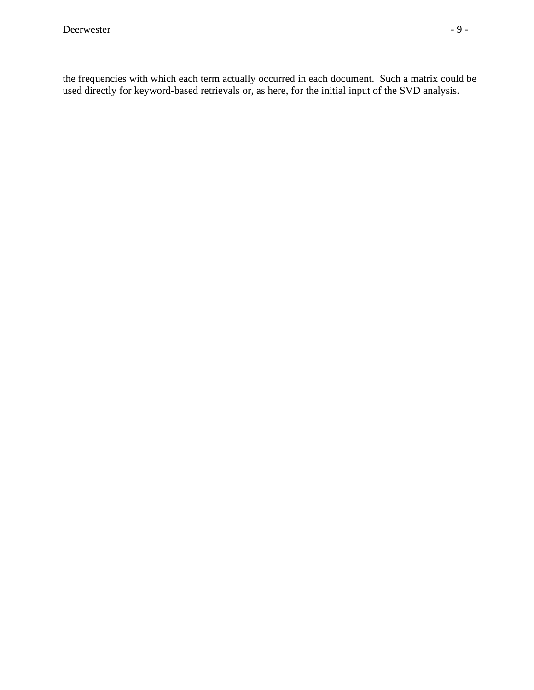the frequencies with which each term actually occurred in each document. Such a matrix could be used directly for keyword-based retrievals or, as here, for the initial input of the SVD analysis.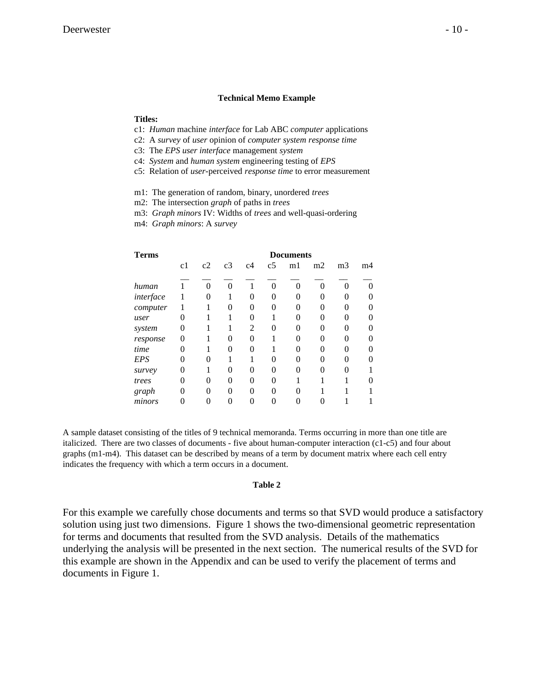#### **Technical Memo Example**

#### **Titles:**

- c1: *Human* machine *interface* for Lab ABC *computer* applications
- c2: A *survey* of *user* opinion of *computer system response time*
- c3: The *EPS user interface* management *system*
- c4: *System* and *human system* engineering testing of *EPS*
- c5: Relation of *user*-perceived *response time* to error measurement
- m1: The generation of random, binary, unordered *trees*
- m2: The intersection *graph* of paths in *trees*
- m3: *Graph minors* IV: Widths of *trees* and well-quasi-ordering
- m4: *Graph minors*: A *survey*

| <b>Terms</b>       | <b>Documents</b>  |    |          |                |                |    |    |                |                |  |  |  |  |  |
|--------------------|-------------------|----|----------|----------------|----------------|----|----|----------------|----------------|--|--|--|--|--|
|                    | c <sub>1</sub>    | c2 | c3       | c4             | c <sub>5</sub> | m1 | m2 | m <sub>3</sub> | m <sub>4</sub> |  |  |  |  |  |
|                    |                   |    |          |                |                |    |    |                |                |  |  |  |  |  |
| human              |                   | 0  | 0        |                | 0              | 0  | 0  | 0              |                |  |  |  |  |  |
| $\emph{interface}$ |                   | 0  |          |                | 0              | 0  | 0  | 0              |                |  |  |  |  |  |
| computer           |                   |    | 0        | 0              | 0              | 0  | 0  | 0              |                |  |  |  |  |  |
| user               | 0                 |    |          | 0              |                | 0  | 0  | 0              |                |  |  |  |  |  |
| system             | $\mathbf{\Omega}$ |    |          | $\overline{2}$ | 0              | 0  | 0  | 0              |                |  |  |  |  |  |
| response           | 0                 |    | $\theta$ | 0              |                | 0  | 0  | $\theta$       |                |  |  |  |  |  |
| time               |                   |    | 0        | 0              |                | 0  | 0  | 0              |                |  |  |  |  |  |
| <b>EPS</b>         | 0                 | ∩  |          |                | 0              | 0  | 0  | $\theta$       |                |  |  |  |  |  |
| survey             |                   |    | 0        |                | ∩              |    | 0  | 0              |                |  |  |  |  |  |
| trees              | 0                 | ∩  | 0        | 0              | ∩              |    |    |                |                |  |  |  |  |  |
| graph              |                   |    | $\theta$ |                | 0              |    |    |                |                |  |  |  |  |  |
| minors             |                   |    | 0        |                | 0              |    |    |                |                |  |  |  |  |  |

A sample dataset consisting of the titles of 9 technical memoranda. Terms occurring in more than one title are italicized. There are two classes of documents - five about human-computer interaction (c1-c5) and four about graphs (m1-m4). This dataset can be described by means of a term by document matrix where each cell entry indicates the frequency with which a term occurs in a document.

#### **Table 2**

For this example we carefully chose documents and terms so that SVD would produce a satisfactory solution using just two dimensions. Figure 1 shows the two-dimensional geometric representation for terms and documents that resulted from the SVD analysis. Details of the mathematics underlying the analysis will be presented in the next section. The numerical results of the SVD for this example are shown in the Appendix and can be used to verify the placement of terms and documents in Figure 1.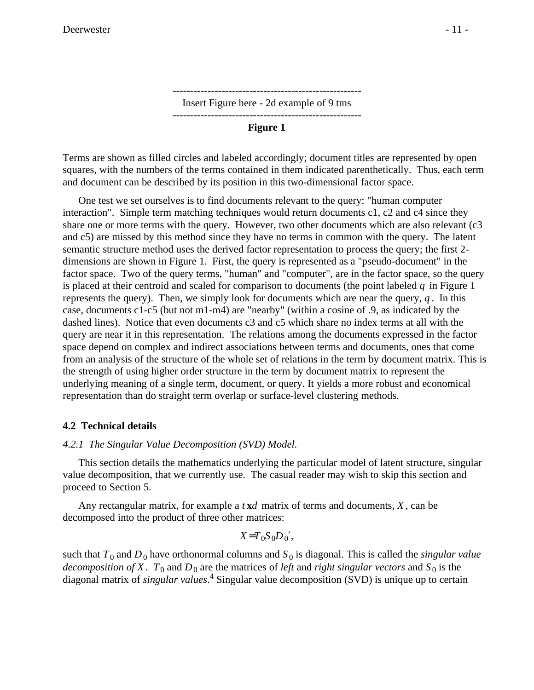------------------------------------------------------ Insert Figure here - 2d example of 9 tms ------------------------------------------------------ **Figure 1**

Terms are shown as filled circles and labeled accordingly; document titles are represented by open squares, with the numbers of the terms contained in them indicated parenthetically. Thus, each term and document can be described by its position in this two-dimensional factor space.

One test we set ourselves is to find documents relevant to the query: "human computer interaction". Simple term matching techniques would return documents c1, c2 and c4 since they share one or more terms with the query. However, two other documents which are also relevant (c3 and c5) are missed by this method since they have no terms in common with the query. The latent semantic structure method uses the derived factor representation to process the query; the first 2 dimensions are shown in Figure 1. First, the query is represented as a "pseudo-document" in the factor space. Two of the query terms, "human" and "computer", are in the factor space, so the query is placed at their centroid and scaled for comparison to documents (the point labeled *q* in Figure 1 represents the query). Then, we simply look for documents which are near the query, *q* . In this case, documents c1-c5 (but not m1-m4) are "nearby" (within a cosine of .9, as indicated by the dashed lines). Notice that even documents c3 and c5 which share no index terms at all with the query are near it in this representation. The relations among the documents expressed in the factor space depend on complex and indirect associations between terms and documents, ones that come from an analysis of the structure of the whole set of relations in the term by document matrix. This is the strength of using higher order structure in the term by document matrix to represent the underlying meaning of a single term, document, or query. It yields a more robust and economical representation than do straight term overlap or surface-level clustering methods.

# **4.2 Technical details**

## *4.2.1 The Singular Value Decomposition (SVD) Model.*

This section details the mathematics underlying the particular model of latent structure, singular value decomposition, that we currently use. The casual reader may wish to skip this section and proceed to Section 5.

Any rectangular matrix, for example a *t* **x***d* matrix of terms and documents, *X* , can be decomposed into the product of three other matrices:

 $X = T_0S_0D_0'$ ,

such that  $T_0$  and  $D_0$  have orthonormal columns and  $S_0$  is diagonal. This is called the *singular value decomposition of X.*  $T_0$  and  $D_0$  are the matrices of *left* and *right singular vectors* and  $S_0$  is the diagonal matrix of *singular values*. <sup>4</sup> Singular value decomposition (SVD) is unique up to certain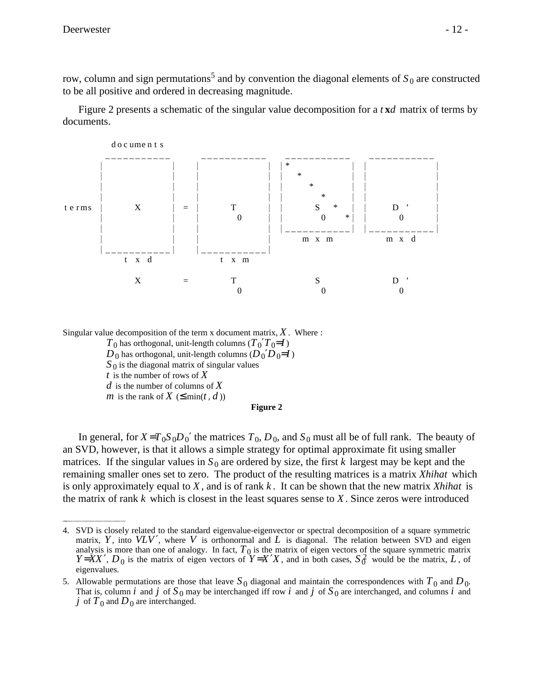hhhhhhhhhhhhhhh

row, column and sign permutations<sup>5</sup> and by convention the diagonal elements of  $S_0$  are constructed to be all positive and ordered in decreasing magnitude.

Figure 2 presents a schematic of the singular value decomposition for a *t* **x***d* matrix of terms by documents.



Singular value decomposition of the term x document matrix,  $X$ . Where :

 $T_0$  has orthogonal, unit-length columns ( $T_0$ <sup>*T*</sup><sub>0</sub>=*I*)  $D_0$  has orthogonal, unit-length columns ( $D_0$ <sup>'</sup> $D_0=I$ )  $S_0$  is the diagonal matrix of singular values *t* is the number of rows of *X d* is the number of columns of *X m* is the rank of  $X \leq \min(t, d)$ 

#### **Figure 2**

In general, for  $X = T_0 S_0 D_0'$  the matrices  $T_0$ ,  $D_0$ , and  $S_0$  must all be of full rank. The beauty of an SVD, however, is that it allows a simple strategy for optimal approximate fit using smaller matrices. If the singular values in  $S_0$  are ordered by size, the first k largest may be kept and the remaining smaller ones set to zero. The product of the resulting matrices is a matrix *Xhihat* which is only approximately equal to *X* , and is of rank *k* . It can be shown that the new matrix *Xhihat* is the matrix of rank *k* which is closest in the least squares sense to *X* . Since zeros were introduced

<sup>4.</sup> SVD is closely related to the standard eigenvalue-eigenvector or spectral decomposition of a square symmetric matrix,  $Y$ , into  $VLV'$ , where  $V$  is orthonormal and  $L$  is diagonal. The relation between SVD and eigen analysis is more than one of analogy. In fact,  $T_0$  is the matrix of eigen vectors of the square symmetric matrix  $Y = XX'$ ,  $D_0$  is the matrix of eigen vectors of  $Y = X'X$ , and in both cases,  $S_0^2$  would be the matrix, *L*, of eigenvalues.

<sup>5.</sup> Allowable permutations are those that leave  $S_0$  diagonal and maintain the correspondences with  $T_0$  and  $D_0$ . That is, column *i* and *j* of  $S_0$  may be interchanged iff row *i* and *j* of  $S_0$  are interchanged, and columns *i* and *j* of  $T_0$  and  $D_0$  are interchanged.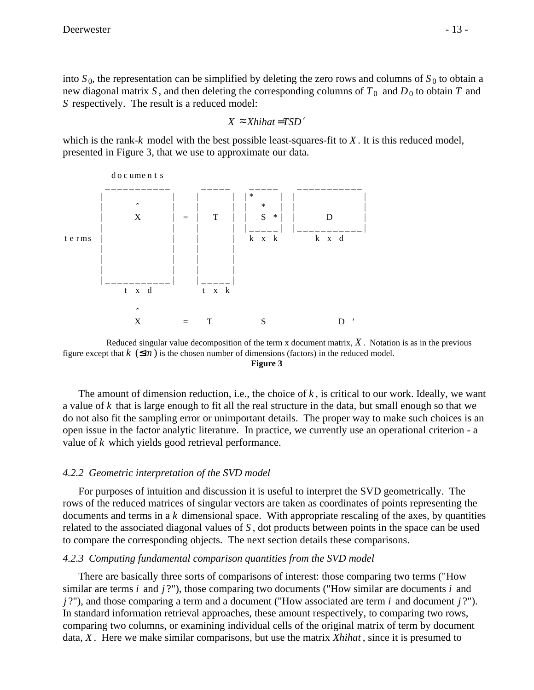into  $S_0$ , the representation can be simplified by deleting the zero rows and columns of  $S_0$  to obtain a new diagonal matrix *S*, and then deleting the corresponding columns of  $T_0$  and  $D_0$  to obtain  $T$  and *S* respectively. The result is a reduced model:

$$
X \approx Xhihat = TSD'
$$

which is the rank-*k* model with the best possible least-squares-fit to *X* . It is this reduced model, presented in Figure 3, that we use to approximate our data.





The amount of dimension reduction, i.e., the choice of *k* , is critical to our work. Ideally, we want a value of *k* that is large enough to fit all the real structure in the data, but small enough so that we do not also fit the sampling error or unimportant details. The proper way to make such choices is an open issue in the factor analytic literature. In practice, we currently use an operational criterion - a value of *k* which yields good retrieval performance.

## *4.2.2 Geometric interpretation of the SVD model*

For purposes of intuition and discussion it is useful to interpret the SVD geometrically. The rows of the reduced matrices of singular vectors are taken as coordinates of points representing the documents and terms in a *k* dimensional space. With appropriate rescaling of the axes, by quantities related to the associated diagonal values of *S* , dot products between points in the space can be used to compare the corresponding objects. The next section details these comparisons.

## *4.2.3 Computing fundamental comparison quantities from the SVD model*

There are basically three sorts of comparisons of interest: those comparing two terms ("How similar are terms *i* and *j* ?"), those comparing two documents ("How similar are documents *i* and *j* ?"), and those comparing a term and a document ("How associated are term *i* and document *j* ?"). In standard information retrieval approaches, these amount respectively, to comparing two rows, comparing two columns, or examining individual cells of the original matrix of term by document data, *X* . Here we make similar comparisons, but use the matrix *Xhihat* , since it is presumed to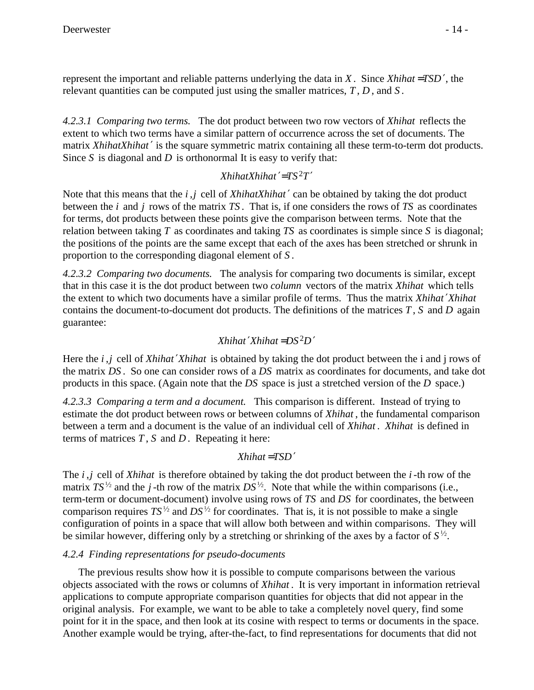represent the important and reliable patterns underlying the data in *X* . Since *Xhihat* =*TSD* ′, the relevant quantities can be computed just using the smaller matrices, *T* , *D* , and *S* .

*4.2.3.1 Comparing two terms.* The dot product between two row vectors of *Xhihat* reflects the extent to which two terms have a similar pattern of occurrence across the set of documents. The matrix *XhihatXhihat'* is the square symmetric matrix containing all these term-to-term dot products. Since *S* is diagonal and *D* is orthonormal It is easy to verify that:

# *XhihatXhihat* ′=*TS*2*T* ′

Note that this means that the *i* ,*j* cell of *XhihatXhihat* ′ can be obtained by taking the dot product between the *i* and *j* rows of the matrix *TS* . That is, if one considers the rows of *TS* as coordinates for terms, dot products between these points give the comparison between terms. Note that the relation between taking *T* as coordinates and taking *TS* as coordinates is simple since *S* is diagonal; the positions of the points are the same except that each of the axes has been stretched or shrunk in proportion to the corresponding diagonal element of *S* .

*4.2.3.2 Comparing two documents.* The analysis for comparing two documents is similar, except that in this case it is the dot product between two *column* vectors of the matrix *Xhihat* which tells the extent to which two documents have a similar profile of terms. Thus the matrix *Xhihat* ′*Xhihat* contains the document-to-document dot products. The definitions of the matrices *T* , *S* and *D* again guarantee:

# *Xhihat* ′*Xhihat* =*DS*2*D* ′

Here the *i* ,*j* cell of *Xhihat* ′*Xhihat* is obtained by taking the dot product between the i and j rows of the matrix *DS* . So one can consider rows of a *DS* matrix as coordinates for documents, and take dot products in this space. (Again note that the *DS* space is just a stretched version of the *D* space.)

*4.2.3.3 Comparing a term and a document.* This comparison is different. Instead of trying to estimate the dot product between rows or between columns of *Xhihat* , the fundamental comparison between a term and a document is the value of an individual cell of *Xhihat* . *Xhihat* is defined in terms of matrices *T* , *S* and *D* . Repeating it here:

# *Xhihat* =*TSD* ′

The *i* ,*j* cell of *Xhihat* is therefore obtained by taking the dot product between the *i* -th row of the matrix  $TS^{1/2}$  and the *j*-th row of the matrix  $DS^{1/2}$ . Note that while the within comparisons (i.e., term-term or document-document) involve using rows of *TS* and *DS* for coordinates, the between comparison requires  $TS^{1/2}$  and  $DS^{1/2}$  for coordinates. That is, it is not possible to make a single configuration of points in a space that will allow both between and within comparisons. They will be similar however, differing only by a stretching or shrinking of the axes by a factor of  $S^{1/2}$ .

# *4.2.4 Finding representations for pseudo-documents*

The previous results show how it is possible to compute comparisons between the various objects associated with the rows or columns of *Xhihat* . It is very important in information retrieval applications to compute appropriate comparison quantities for objects that did not appear in the original analysis. For example, we want to be able to take a completely novel query, find some point for it in the space, and then look at its cosine with respect to terms or documents in the space. Another example would be trying, after-the-fact, to find representations for documents that did not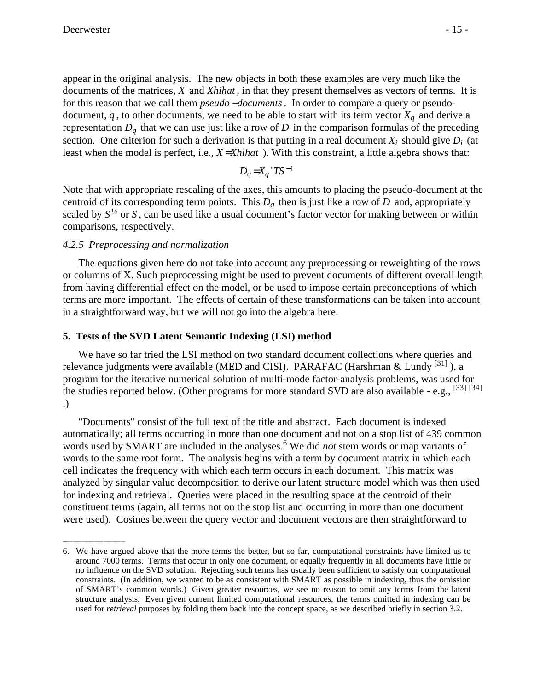hhhhhhhhhhhhhhh

appear in the original analysis. The new objects in both these examples are very much like the documents of the matrices, *X* and *Xhihat* , in that they present themselves as vectors of terms. It is for this reason that we call them *pseudo* −*documents*. In order to compare a query or pseudodocument,  $q$ , to other documents, we need to be able to start with its term vector  $X_q$  and derive a representation  $D_q$  that we can use just like a row of  $D$  in the comparison formulas of the preceding section. One criterion for such a derivation is that putting in a real document  $X_i$  should give  $D_i$  (at least when the model is perfect, i.e., *X* =*Xhihat* ). With this constraint, a little algebra shows that:

$$
D_q = X_q' T S^{-1}
$$

Note that with appropriate rescaling of the axes, this amounts to placing the pseudo-document at the centroid of its corresponding term points. This  $D_q$  then is just like a row of  $D$  and, appropriately scaled by  $S^{1/2}$  or S, can be used like a usual document's factor vector for making between or within comparisons, respectively.

## *4.2.5 Preprocessing and normalization*

The equations given here do not take into account any preprocessing or reweighting of the rows or columns of X. Such preprocessing might be used to prevent documents of different overall length from having differential effect on the model, or be used to impose certain preconceptions of which terms are more important. The effects of certain of these transformations can be taken into account in a straightforward way, but we will not go into the algebra here.

## **5. Tests of the SVD Latent Semantic Indexing (LSI) method**

We have so far tried the LSI method on two standard document collections where queries and relevance judgments were available (MED and CISI). PARAFAC (Harshman & Lundy <sup>[31]</sup>), a program for the iterative numerical solution of multi-mode factor-analysis problems, was used for the studies reported below. (Other programs for more standard SVD are also available - e.g., [33] [34] .)

"Documents" consist of the full text of the title and abstract. Each document is indexed automatically; all terms occurring in more than one document and not on a stop list of 439 common words used by SMART are included in the analyses.<sup>6</sup> We did *not* stem words or map variants of words to the same root form. The analysis begins with a term by document matrix in which each cell indicates the frequency with which each term occurs in each document. This matrix was analyzed by singular value decomposition to derive our latent structure model which was then used for indexing and retrieval. Queries were placed in the resulting space at the centroid of their constituent terms (again, all terms not on the stop list and occurring in more than one document were used). Cosines between the query vector and document vectors are then straightforward to

<sup>6.</sup> We have argued above that the more terms the better, but so far, computational constraints have limited us to around 7000 terms. Terms that occur in only one document, or equally frequently in all documents have little or no influence on the SVD solution. Rejecting such terms has usually been sufficient to satisfy our computational constraints. (In addition, we wanted to be as consistent with SMART as possible in indexing, thus the omission of SMART's common words.) Given greater resources, we see no reason to omit any terms from the latent structure analysis. Even given current limited computational resources, the terms omitted in indexing can be used for *retrieval* purposes by folding them back into the concept space, as we described briefly in section 3.2.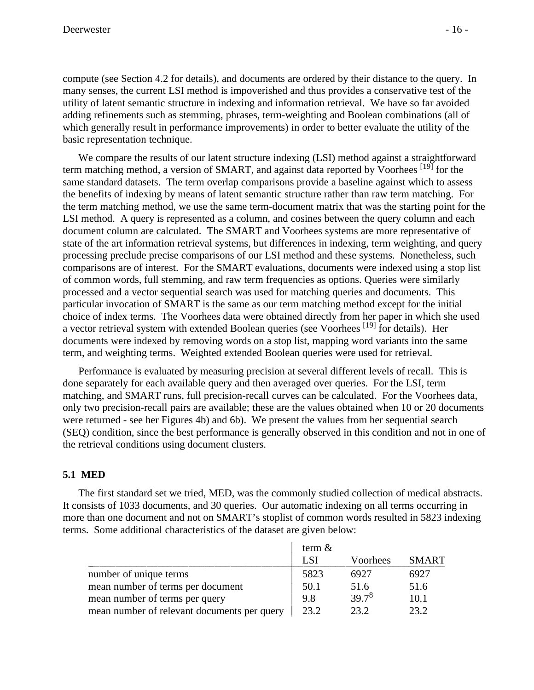compute (see Section 4.2 for details), and documents are ordered by their distance to the query. In many senses, the current LSI method is impoverished and thus provides a conservative test of the utility of latent semantic structure in indexing and information retrieval. We have so far avoided adding refinements such as stemming, phrases, term-weighting and Boolean combinations (all of which generally result in performance improvements) in order to better evaluate the utility of the basic representation technique.

We compare the results of our latent structure indexing (LSI) method against a straightforward term matching method, a version of SMART, and against data reported by Voorhees <sup>[19]</sup> for the same standard datasets. The term overlap comparisons provide a baseline against which to assess the benefits of indexing by means of latent semantic structure rather than raw term matching. For the term matching method, we use the same term-document matrix that was the starting point for the LSI method. A query is represented as a column, and cosines between the query column and each document column are calculated. The SMART and Voorhees systems are more representative of state of the art information retrieval systems, but differences in indexing, term weighting, and query processing preclude precise comparisons of our LSI method and these systems. Nonetheless, such comparisons are of interest. For the SMART evaluations, documents were indexed using a stop list of common words, full stemming, and raw term frequencies as options. Queries were similarly processed and a vector sequential search was used for matching queries and documents. This particular invocation of SMART is the same as our term matching method except for the initial choice of index terms. The Voorhees data were obtained directly from her paper in which she used a vector retrieval system with extended Boolean queries (see Voorhees [19] for details). Her documents were indexed by removing words on a stop list, mapping word variants into the same term, and weighting terms. Weighted extended Boolean queries were used for retrieval.

Performance is evaluated by measuring precision at several different levels of recall. This is done separately for each available query and then averaged over queries. For the LSI, term matching, and SMART runs, full precision-recall curves can be calculated. For the Voorhees data, only two precision-recall pairs are available; these are the values obtained when 10 or 20 documents were returned - see her Figures 4b) and 6b). We present the values from her sequential search (SEQ) condition, since the best performance is generally observed in this condition and not in one of the retrieval conditions using document clusters.

# **5.1 MED**

The first standard set we tried, MED, was the commonly studied collection of medical abstracts. It consists of 1033 documents, and 30 queries. Our automatic indexing on all terms occurring in more than one document and not on SMART's stoplist of common words resulted in 5823 indexing terms. Some additional characteristics of the dataset are given below:

|                                             | term $\&$ |            |              |
|---------------------------------------------|-----------|------------|--------------|
|                                             | LSI       | Voorhees   | <b>SMART</b> |
| number of unique terms                      | 5823      | 6927       | 6927         |
| mean number of terms per document           | 50.1      | 51.6       | 51.6         |
| mean number of terms per query              | 9.8       | $39.7^{8}$ | 10.1         |
| mean number of relevant documents per query | 232       | 23.2       | 23.2         |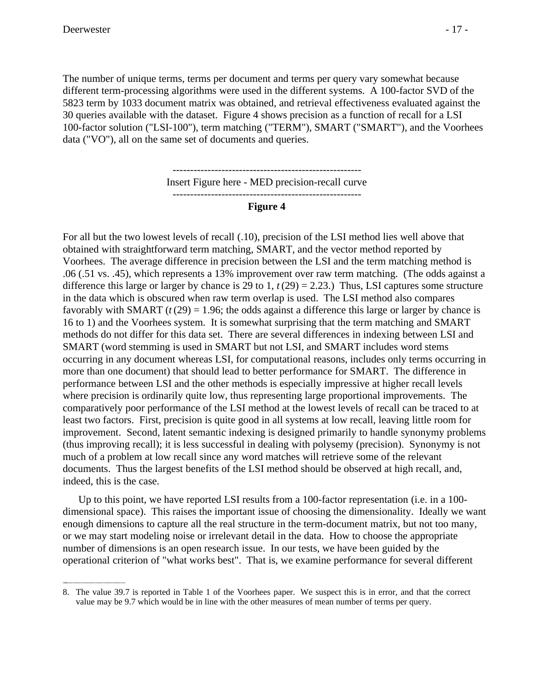hhhhhhhhhhhhhhh

The number of unique terms, terms per document and terms per query vary somewhat because different term-processing algorithms were used in the different systems. A 100-factor SVD of the 5823 term by 1033 document matrix was obtained, and retrieval effectiveness evaluated against the 30 queries available with the dataset. Figure 4 shows precision as a function of recall for a LSI 100-factor solution ("LSI-100"), term matching ("TERM"), SMART ("SMART"), and the Voorhees data ("VO"), all on the same set of documents and queries.



For all but the two lowest levels of recall (.10), precision of the LSI method lies well above that obtained with straightforward term matching, SMART, and the vector method reported by Voorhees. The average difference in precision between the LSI and the term matching method is .06 (.51 vs. .45), which represents a 13% improvement over raw term matching. (The odds against a difference this large or larger by chance is 29 to 1,  $t(29) = 2.23$ .) Thus, LSI captures some structure in the data which is obscured when raw term overlap is used. The LSI method also compares favorably with SMART (*t* (29) = 1.96; the odds against a difference this large or larger by chance is 16 to 1) and the Voorhees system. It is somewhat surprising that the term matching and SMART methods do not differ for this data set. There are several differences in indexing between LSI and SMART (word stemming is used in SMART but not LSI, and SMART includes word stems occurring in any document whereas LSI, for computational reasons, includes only terms occurring in more than one document) that should lead to better performance for SMART. The difference in performance between LSI and the other methods is especially impressive at higher recall levels where precision is ordinarily quite low, thus representing large proportional improvements. The comparatively poor performance of the LSI method at the lowest levels of recall can be traced to at least two factors. First, precision is quite good in all systems at low recall, leaving little room for improvement. Second, latent semantic indexing is designed primarily to handle synonymy problems (thus improving recall); it is less successful in dealing with polysemy (precision). Synonymy is not much of a problem at low recall since any word matches will retrieve some of the relevant documents. Thus the largest benefits of the LSI method should be observed at high recall, and, indeed, this is the case.

Up to this point, we have reported LSI results from a 100-factor representation (i.e. in a 100dimensional space). This raises the important issue of choosing the dimensionality. Ideally we want enough dimensions to capture all the real structure in the term-document matrix, but not too many, or we may start modeling noise or irrelevant detail in the data. How to choose the appropriate number of dimensions is an open research issue. In our tests, we have been guided by the operational criterion of "what works best". That is, we examine performance for several different

<sup>8.</sup> The value 39.7 is reported in Table 1 of the Voorhees paper. We suspect this is in error, and that the correct value may be 9.7 which would be in line with the other measures of mean number of terms per query.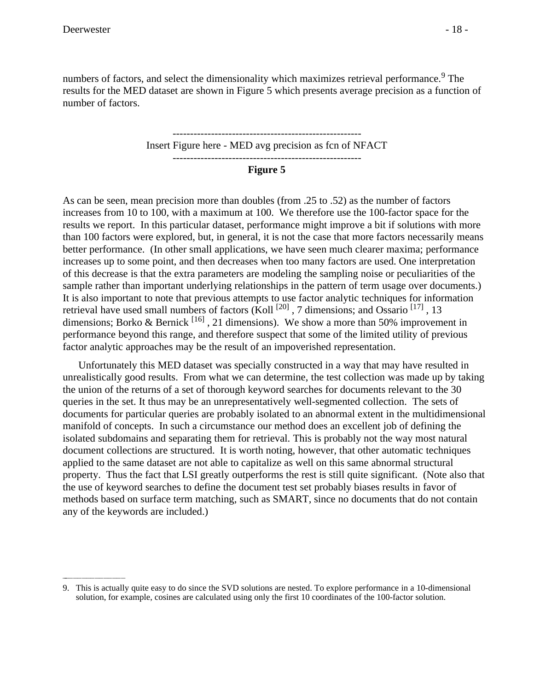hhhhhhhhhhhhhhh

numbers of factors, and select the dimensionality which maximizes retrieval performance.<sup>9</sup> The results for the MED dataset are shown in Figure 5 which presents average precision as a function of number of factors.

> ------------------------------------------------------ Insert Figure here - MED avg precision as fcn of NFACT ------------------------------------------------------ **Figure 5**

As can be seen, mean precision more than doubles (from .25 to .52) as the number of factors increases from 10 to 100, with a maximum at 100. We therefore use the 100-factor space for the results we report. In this particular dataset, performance might improve a bit if solutions with more than 100 factors were explored, but, in general, it is not the case that more factors necessarily means better performance. (In other small applications, we have seen much clearer maxima; performance increases up to some point, and then decreases when too many factors are used. One interpretation of this decrease is that the extra parameters are modeling the sampling noise or peculiarities of the sample rather than important underlying relationships in the pattern of term usage over documents.) It is also important to note that previous attempts to use factor analytic techniques for information retrieval have used small numbers of factors (Koll  $^{[20]}$ , 7 dimensions; and Ossario  $^{[17]}$ , 13 dimensions; Borko & Bernick  $[16]$ , 21 dimensions). We show a more than 50% improvement in performance beyond this range, and therefore suspect that some of the limited utility of previous factor analytic approaches may be the result of an impoverished representation.

Unfortunately this MED dataset was specially constructed in a way that may have resulted in unrealistically good results. From what we can determine, the test collection was made up by taking the union of the returns of a set of thorough keyword searches for documents relevant to the 30 queries in the set. It thus may be an unrepresentatively well-segmented collection. The sets of documents for particular queries are probably isolated to an abnormal extent in the multidimensional manifold of concepts. In such a circumstance our method does an excellent job of defining the isolated subdomains and separating them for retrieval. This is probably not the way most natural document collections are structured. It is worth noting, however, that other automatic techniques applied to the same dataset are not able to capitalize as well on this same abnormal structural property. Thus the fact that LSI greatly outperforms the rest is still quite significant. (Note also that the use of keyword searches to define the document test set probably biases results in favor of methods based on surface term matching, such as SMART, since no documents that do not contain any of the keywords are included.)

<sup>9.</sup> This is actually quite easy to do since the SVD solutions are nested. To explore performance in a 10-dimensional solution, for example, cosines are calculated using only the first 10 coordinates of the 100-factor solution.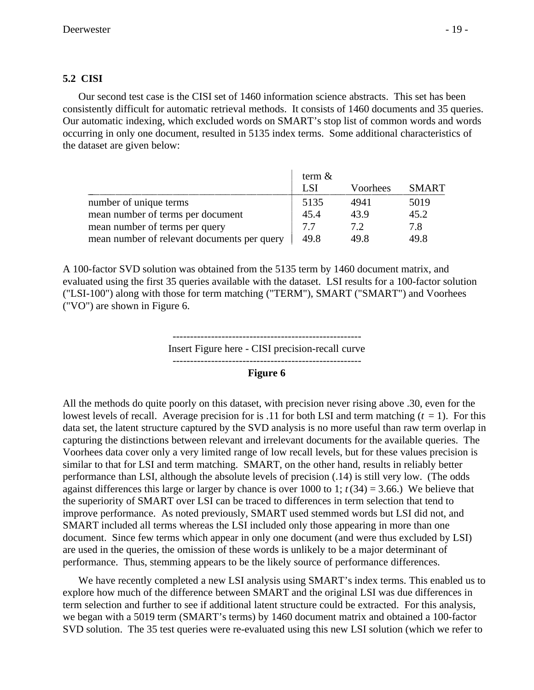# **5.2 CISI**

Our second test case is the CISI set of 1460 information science abstracts. This set has been consistently difficult for automatic retrieval methods. It consists of 1460 documents and 35 queries. Our automatic indexing, which excluded words on SMART's stop list of common words and words occurring in only one document, resulted in 5135 index terms. Some additional characteristics of the dataset are given below:

|                                             | term $\&$  |          |              |
|---------------------------------------------|------------|----------|--------------|
|                                             | <b>LSI</b> | Voorhees | <b>SMART</b> |
| number of unique terms                      | 5135       | 4941     | 5019         |
| mean number of terms per document           | 45.4       | 43.9     | 45.2         |
| mean number of terms per query              | 7.7        | 72       | 7.8          |
| mean number of relevant documents per query | 49.8       | 49.8     | 49.8         |

A 100-factor SVD solution was obtained from the 5135 term by 1460 document matrix, and evaluated using the first 35 queries available with the dataset. LSI results for a 100-factor solution ("LSI-100") along with those for term matching ("TERM"), SMART ("SMART") and Voorhees ("VO") are shown in Figure 6.



All the methods do quite poorly on this dataset, with precision never rising above .30, even for the lowest levels of recall. Average precision for is .11 for both LSI and term matching  $(t = 1)$ . For this data set, the latent structure captured by the SVD analysis is no more useful than raw term overlap in capturing the distinctions between relevant and irrelevant documents for the available queries. The Voorhees data cover only a very limited range of low recall levels, but for these values precision is similar to that for LSI and term matching. SMART, on the other hand, results in reliably better performance than LSI, although the absolute levels of precision (.14) is still very low. (The odds against differences this large or larger by chance is over 1000 to 1;  $t(34) = 3.66$ .) We believe that the superiority of SMART over LSI can be traced to differences in term selection that tend to improve performance. As noted previously, SMART used stemmed words but LSI did not, and SMART included all terms whereas the LSI included only those appearing in more than one document. Since few terms which appear in only one document (and were thus excluded by LSI) are used in the queries, the omission of these words is unlikely to be a major determinant of performance. Thus, stemming appears to be the likely source of performance differences.

We have recently completed a new LSI analysis using SMART's index terms. This enabled us to explore how much of the difference between SMART and the original LSI was due differences in term selection and further to see if additional latent structure could be extracted. For this analysis, we began with a 5019 term (SMART's terms) by 1460 document matrix and obtained a 100-factor SVD solution. The 35 test queries were re-evaluated using this new LSI solution (which we refer to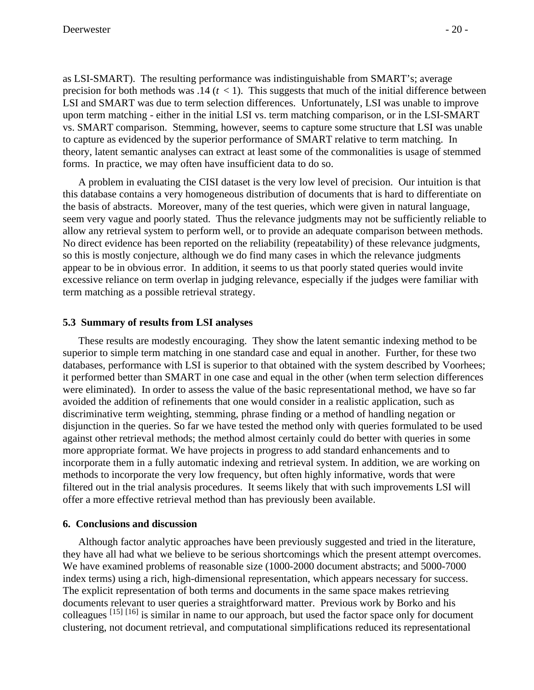as LSI-SMART). The resulting performance was indistinguishable from SMART's; average precision for both methods was .14  $(t < 1)$ . This suggests that much of the initial difference between LSI and SMART was due to term selection differences. Unfortunately, LSI was unable to improve upon term matching - either in the initial LSI vs. term matching comparison, or in the LSI-SMART vs. SMART comparison. Stemming, however, seems to capture some structure that LSI was unable to capture as evidenced by the superior performance of SMART relative to term matching. In theory, latent semantic analyses can extract at least some of the commonalities is usage of stemmed forms. In practice, we may often have insufficient data to do so.

A problem in evaluating the CISI dataset is the very low level of precision. Our intuition is that this database contains a very homogeneous distribution of documents that is hard to differentiate on the basis of abstracts. Moreover, many of the test queries, which were given in natural language, seem very vague and poorly stated. Thus the relevance judgments may not be sufficiently reliable to allow any retrieval system to perform well, or to provide an adequate comparison between methods. No direct evidence has been reported on the reliability (repeatability) of these relevance judgments, so this is mostly conjecture, although we do find many cases in which the relevance judgments appear to be in obvious error. In addition, it seems to us that poorly stated queries would invite excessive reliance on term overlap in judging relevance, especially if the judges were familiar with term matching as a possible retrieval strategy.

## **5.3 Summary of results from LSI analyses**

These results are modestly encouraging. They show the latent semantic indexing method to be superior to simple term matching in one standard case and equal in another. Further, for these two databases, performance with LSI is superior to that obtained with the system described by Voorhees; it performed better than SMART in one case and equal in the other (when term selection differences were eliminated). In order to assess the value of the basic representational method, we have so far avoided the addition of refinements that one would consider in a realistic application, such as discriminative term weighting, stemming, phrase finding or a method of handling negation or disjunction in the queries. So far we have tested the method only with queries formulated to be used against other retrieval methods; the method almost certainly could do better with queries in some more appropriate format. We have projects in progress to add standard enhancements and to incorporate them in a fully automatic indexing and retrieval system. In addition, we are working on methods to incorporate the very low frequency, but often highly informative, words that were filtered out in the trial analysis procedures. It seems likely that with such improvements LSI will offer a more effective retrieval method than has previously been available.

### **6. Conclusions and discussion**

Although factor analytic approaches have been previously suggested and tried in the literature, they have all had what we believe to be serious shortcomings which the present attempt overcomes. We have examined problems of reasonable size (1000-2000 document abstracts; and 5000-7000 index terms) using a rich, high-dimensional representation, which appears necessary for success. The explicit representation of both terms and documents in the same space makes retrieving documents relevant to user queries a straightforward matter. Previous work by Borko and his colleagues [15] [16] is similar in name to our approach, but used the factor space only for document clustering, not document retrieval, and computational simplifications reduced its representational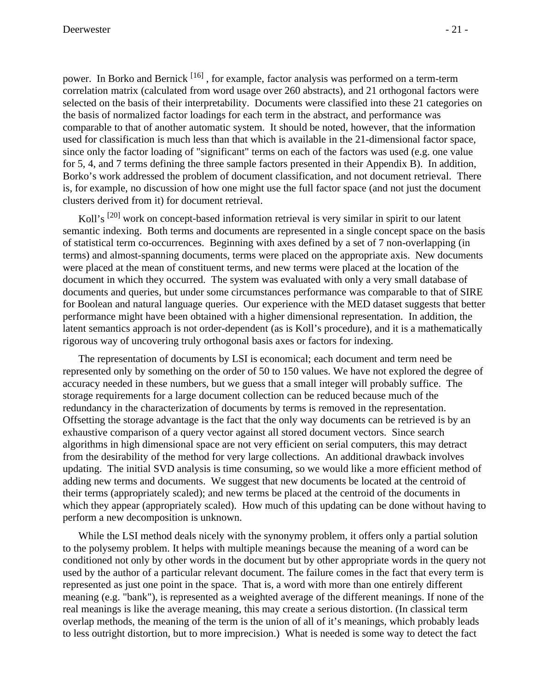power. In Borko and Bernick [16] , for example, factor analysis was performed on a term-term correlation matrix (calculated from word usage over 260 abstracts), and 21 orthogonal factors were selected on the basis of their interpretability. Documents were classified into these 21 categories on the basis of normalized factor loadings for each term in the abstract, and performance was comparable to that of another automatic system. It should be noted, however, that the information used for classification is much less than that which is available in the 21-dimensional factor space, since only the factor loading of "significant" terms on each of the factors was used (e.g. one value for 5, 4, and 7 terms defining the three sample factors presented in their Appendix B). In addition, Borko's work addressed the problem of document classification, and not document retrieval. There is, for example, no discussion of how one might use the full factor space (and not just the document clusters derived from it) for document retrieval.

Koll's <sup>[20]</sup> work on concept-based information retrieval is very similar in spirit to our latent semantic indexing. Both terms and documents are represented in a single concept space on the basis of statistical term co-occurrences. Beginning with axes defined by a set of 7 non-overlapping (in terms) and almost-spanning documents, terms were placed on the appropriate axis. New documents were placed at the mean of constituent terms, and new terms were placed at the location of the document in which they occurred. The system was evaluated with only a very small database of documents and queries, but under some circumstances performance was comparable to that of SIRE for Boolean and natural language queries. Our experience with the MED dataset suggests that better performance might have been obtained with a higher dimensional representation. In addition, the latent semantics approach is not order-dependent (as is Koll's procedure), and it is a mathematically rigorous way of uncovering truly orthogonal basis axes or factors for indexing.

The representation of documents by LSI is economical; each document and term need be represented only by something on the order of 50 to 150 values. We have not explored the degree of accuracy needed in these numbers, but we guess that a small integer will probably suffice. The storage requirements for a large document collection can be reduced because much of the redundancy in the characterization of documents by terms is removed in the representation. Offsetting the storage advantage is the fact that the only way documents can be retrieved is by an exhaustive comparison of a query vector against all stored document vectors. Since search algorithms in high dimensional space are not very efficient on serial computers, this may detract from the desirability of the method for very large collections. An additional drawback involves updating. The initial SVD analysis is time consuming, so we would like a more efficient method of adding new terms and documents. We suggest that new documents be located at the centroid of their terms (appropriately scaled); and new terms be placed at the centroid of the documents in which they appear (appropriately scaled). How much of this updating can be done without having to perform a new decomposition is unknown.

While the LSI method deals nicely with the synonymy problem, it offers only a partial solution to the polysemy problem. It helps with multiple meanings because the meaning of a word can be conditioned not only by other words in the document but by other appropriate words in the query not used by the author of a particular relevant document. The failure comes in the fact that every term is represented as just one point in the space. That is, a word with more than one entirely different meaning (e.g. "bank"), is represented as a weighted average of the different meanings. If none of the real meanings is like the average meaning, this may create a serious distortion. (In classical term overlap methods, the meaning of the term is the union of all of it's meanings, which probably leads to less outright distortion, but to more imprecision.) What is needed is some way to detect the fact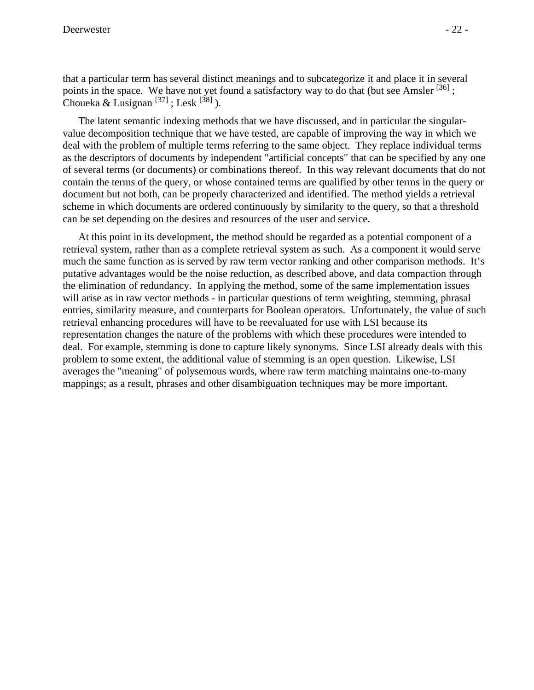that a particular term has several distinct meanings and to subcategorize it and place it in several points in the space. We have not yet found a satisfactory way to do that (but see Amsler  $^{[36]}$ ); Choueka & Lusignan<sup>[37]</sup>; Lesk<sup>[38]</sup>).

The latent semantic indexing methods that we have discussed, and in particular the singularvalue decomposition technique that we have tested, are capable of improving the way in which we deal with the problem of multiple terms referring to the same object. They replace individual terms as the descriptors of documents by independent "artificial concepts" that can be specified by any one of several terms (or documents) or combinations thereof. In this way relevant documents that do not contain the terms of the query, or whose contained terms are qualified by other terms in the query or document but not both, can be properly characterized and identified. The method yields a retrieval scheme in which documents are ordered continuously by similarity to the query, so that a threshold can be set depending on the desires and resources of the user and service.

At this point in its development, the method should be regarded as a potential component of a retrieval system, rather than as a complete retrieval system as such. As a component it would serve much the same function as is served by raw term vector ranking and other comparison methods. It's putative advantages would be the noise reduction, as described above, and data compaction through the elimination of redundancy. In applying the method, some of the same implementation issues will arise as in raw vector methods - in particular questions of term weighting, stemming, phrasal entries, similarity measure, and counterparts for Boolean operators. Unfortunately, the value of such retrieval enhancing procedures will have to be reevaluated for use with LSI because its representation changes the nature of the problems with which these procedures were intended to deal. For example, stemming is done to capture likely synonyms. Since LSI already deals with this problem to some extent, the additional value of stemming is an open question. Likewise, LSI averages the "meaning" of polysemous words, where raw term matching maintains one-to-many mappings; as a result, phrases and other disambiguation techniques may be more important.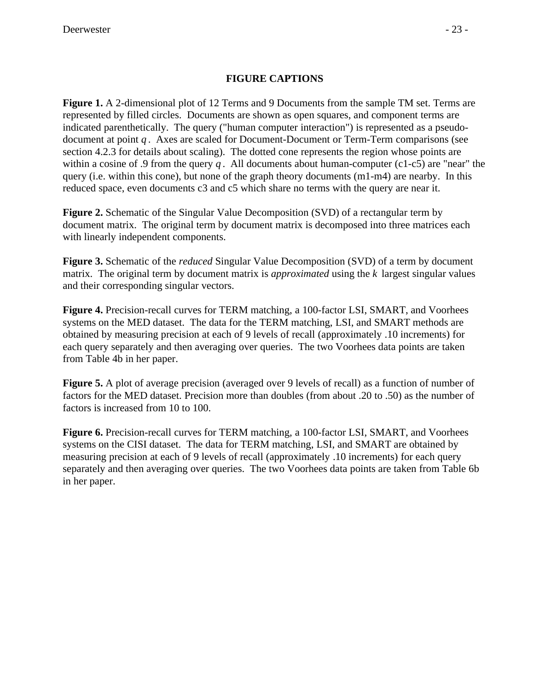# **FIGURE CAPTIONS**

**Figure 1.** A 2-dimensional plot of 12 Terms and 9 Documents from the sample TM set. Terms are represented by filled circles. Documents are shown as open squares, and component terms are indicated parenthetically. The query ("human computer interaction") is represented as a pseudodocument at point *q* . Axes are scaled for Document-Document or Term-Term comparisons (see section 4.2.3 for details about scaling). The dotted cone represents the region whose points are within a cosine of .9 from the query *q* . All documents about human-computer (c1-c5) are "near" the query (i.e. within this cone), but none of the graph theory documents (m1-m4) are nearby. In this reduced space, even documents c3 and c5 which share no terms with the query are near it.

**Figure 2.** Schematic of the Singular Value Decomposition (SVD) of a rectangular term by document matrix. The original term by document matrix is decomposed into three matrices each with linearly independent components.

**Figure 3.** Schematic of the *reduced* Singular Value Decomposition (SVD) of a term by document matrix. The original term by document matrix is *approximated* using the *k* largest singular values and their corresponding singular vectors.

**Figure 4.** Precision-recall curves for TERM matching, a 100-factor LSI, SMART, and Voorhees systems on the MED dataset. The data for the TERM matching, LSI, and SMART methods are obtained by measuring precision at each of 9 levels of recall (approximately .10 increments) for each query separately and then averaging over queries. The two Voorhees data points are taken from Table 4b in her paper.

**Figure 5.** A plot of average precision (averaged over 9 levels of recall) as a function of number of factors for the MED dataset. Precision more than doubles (from about .20 to .50) as the number of factors is increased from 10 to 100.

**Figure 6.** Precision-recall curves for TERM matching, a 100-factor LSI, SMART, and Voorhees systems on the CISI dataset. The data for TERM matching, LSI, and SMART are obtained by measuring precision at each of 9 levels of recall (approximately .10 increments) for each query separately and then averaging over queries. The two Voorhees data points are taken from Table 6b in her paper.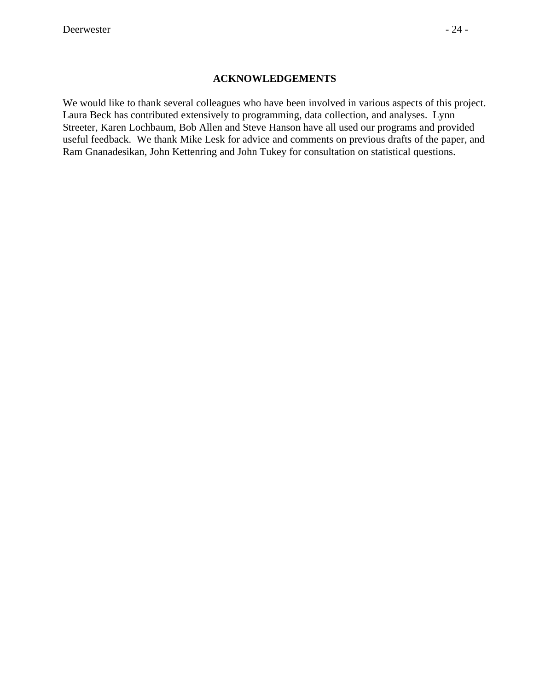# **ACKNOWLEDGEMENTS**

We would like to thank several colleagues who have been involved in various aspects of this project. Laura Beck has contributed extensively to programming, data collection, and analyses. Lynn Streeter, Karen Lochbaum, Bob Allen and Steve Hanson have all used our programs and provided useful feedback. We thank Mike Lesk for advice and comments on previous drafts of the paper, and Ram Gnanadesikan, John Kettenring and John Tukey for consultation on statistical questions.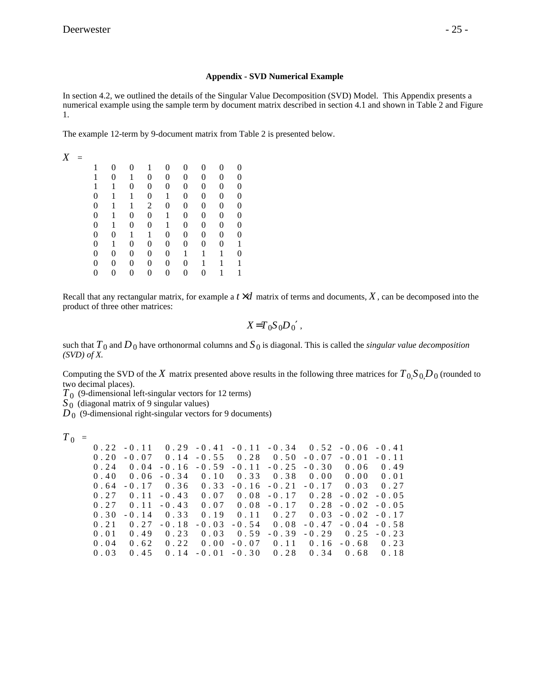#### **Appendix - SVD Numerical Example**

In section 4.2, we outlined the details of the Singular Value Decomposition (SVD) Model. This Appendix presents a numerical example using the sample term by document matrix described in section 4.1 and shown in Table 2 and Figure 1.

The example 12-term by 9-document matrix from Table 2 is presented below.

|   |   |                |   |   |   |   | 0 |
|---|---|----------------|---|---|---|---|---|
| 0 | 1 | 0              | 0 | 0 | 0 | 0 | 0 |
|   | 0 | 0              | 0 | 0 | 0 | 0 | 0 |
|   | 1 | 0              | 1 | 0 | 0 | 0 | 0 |
|   | 1 | 2              | 0 | 0 | 0 | 0 | 0 |
|   | 0 | $\overline{0}$ | 1 | 0 | 0 | 0 | 0 |
|   | 0 | 0              | 1 | 0 | 0 | 0 | 0 |
| 0 | 1 | 1              | 0 | 0 | 0 | 0 | 0 |
|   | 0 | 0              | 0 | 0 | 0 | 0 | 1 |
| 0 | 0 | 0              | 0 | 1 | 1 | 1 | 0 |
| 0 | 0 | 0              | 0 | 0 | 1 |   | 1 |
|   | 0 |                | 0 | 0 |   |   |   |
|   |   |                |   |   |   |   |   |

Recall that any rectangular matrix, for example a  $t \times d$  matrix of terms and documents,  $X$ , can be decomposed into the product of three other matrices:

$$
X = T_0 S_0 D_0',
$$

such that  $T_0$  and  $D_0$  have orthonormal columns and  $S_0$  is diagonal. This is called the *singular value decomposition (SVD) of X.*

Computing the SVD of the *X* matrix presented above results in the following three matrices for  $T_0$ ,  $S_0$ ,  $D_0$  (rounded to two decimal places).

*T*<sup>0</sup> (9-dimensional left-singular vectors for 12 terms)

 $S_0$  (diagonal matrix of 9 singular values)

 $D_0$  (9-dimensional right-singular vectors for 9 documents)

```
T_0 =
```

|          | $0.22 - 0.11$ |         | $0.29 - 0.41 - 0.11 - 0.34$ $0.52 - 0.06 - 0.41$ |                                          |                       |                   |                       |               |
|----------|---------------|---------|--------------------------------------------------|------------------------------------------|-----------------------|-------------------|-----------------------|---------------|
| 0.20     | $-0.07$       |         | $0.14 - 0.55$ $0.28$ $0.50 - 0.07$               |                                          |                       |                   | $-0.01$               | $-0.11$       |
| 0.24     | 0.04          | $-0.16$ |                                                  | $-0.59 - 0.11 - 0.25$                    |                       | $-0.30$           | 0.06                  | 0.49          |
| 0.40     | 0.06          | $-0.34$ |                                                  | $0.10 \quad 0.33 \quad 0.38$             |                       | $0.00 \quad 0.00$ |                       | 0.01          |
| 0.64     | $-0.17$       |         | $0.36 \quad 0.33$                                |                                          | $-0.16 - 0.21 - 0.17$ |                   | 0.03                  | 0.27          |
| 0.27     | 0.11          | $-0.43$ | 0.07                                             |                                          | $0.08 - 0.17$         | 0.28              | $-0.02$               | $-0.05$       |
| 0.27     | 0.11          | $-0.43$ |                                                  | $0.07 \quad 0.08 \quad -0.17 \quad 0.28$ |                       |                   | $-0.02 - 0.05$        |               |
| 0.30     | $-0.14$       | 0.33    | 0.19                                             | 0.11                                     |                       | $0.27$ 0.03       | $-0.02 - 0.17$        |               |
| $0 \t21$ | 0.27          | $-0.18$ |                                                  | $-0.03 - 0.54$ 0.08                      |                       |                   | $-0.47 - 0.04 - 0.58$ |               |
| 0.01     | 0.49          | 0.23    |                                                  | $0.03 \quad 0.59$                        | $-0.39$               | $-0.29$           |                       | $0.25 - 0.23$ |
| 0.04     | 0.62          | 0.22    | 0.00                                             | $-0.07$                                  | 0.11                  |                   | $0.16 - 0.68$         | 0.23          |
| 0 03     | 0.45          | 0.14    | $-0.01$                                          |                                          | $-0.30 \quad 0.28$    | 0.34              | 0.68                  | $0 \t18$      |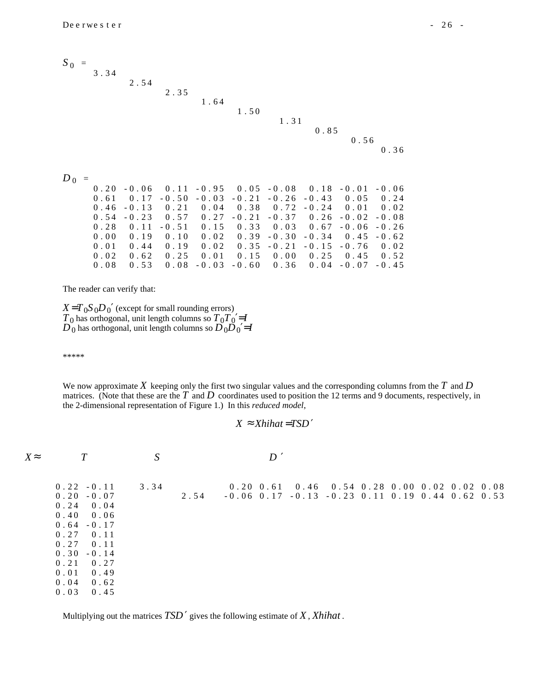| $S_0$ = | 3.34                                                                             | 2.54                                                                          | 2.35                                                                       | 1.64                                                                          | 1.50                                                                          | 1.31                                                                     | 0.85                                                                                     | 0.56                                                                                | $0.36$                                                                              |
|---------|----------------------------------------------------------------------------------|-------------------------------------------------------------------------------|----------------------------------------------------------------------------|-------------------------------------------------------------------------------|-------------------------------------------------------------------------------|--------------------------------------------------------------------------|------------------------------------------------------------------------------------------|-------------------------------------------------------------------------------------|-------------------------------------------------------------------------------------|
| $D_0$   | $\equiv$<br>0.20<br>0.61<br>0.46<br>0.54<br>0.28<br>0.00<br>0.01<br>0.02<br>0.08 | $-0.06$<br>0.17<br>$-0.13$<br>$-0.23$<br>0.11<br>0.19<br>0.44<br>0.62<br>0.53 | 0.11<br>$-0.50$<br>0.21<br>0.57<br>$-0.51$<br>0.10<br>0.19<br>0.25<br>0.08 | $-0.95$<br>$-0.03$<br>0.04<br>0.27<br>0.15<br>0.02<br>0.02<br>0.01<br>$-0.03$ | 0.05<br>$-0.21$<br>0.38<br>$-0.21$<br>0.33<br>0.39<br>0.35<br>0.15<br>$-0.60$ | $-0.26$<br>0.72<br>$-0.37$<br>0.03<br>$-0.30$<br>$-0.21$<br>0.00<br>0.36 | $-0.08$ 0.18<br>$-0.43$<br>$-0.24$<br>0.26<br>0.67<br>$-0.34$<br>$-0.15$<br>0.25<br>0.04 | $-0.01$<br>0.05<br>0.01<br>$-0.02$<br>$-0.06$<br>0.45<br>$-0.76$<br>0.45<br>$-0.07$ | $-0.06$<br>0.24<br>0.02<br>$-0.08$<br>$-0.26$<br>$-0.62$<br>0.02<br>0.52<br>$-0.45$ |

The reader can verify that:

 $X = T_0S_0D_0'$  (except for small rounding errors)  $T_0$  has orthogonal, unit length columns so  $T_0T_0'$ =*I*  $D_0$  has orthogonal, unit length columns so  $\tilde{D_0} \tilde{D_0}'$   $\! =$   $\! I$ 

\*\*\*\*\*

We now approximate *X* keeping only the first two singular values and the corresponding columns from the *T* and *D* matrices. (Note that these are the  $T$  and  $D$  coordinates used to position the 12 terms and 9 documents, respectively, in the 2-dimensional representation of Figure 1.) In this *reduced model*,

 $X \approx X$ *hihat* = *TSD* 

*X* ≈ *T S D* ′

 $\begin{array}{cccccccccccc} 0.22 & -0.11 & 3.34 & 0.20 & 0.61 & 0.46 & 0.54 & 0.28 & 0.00 & 0.02 & 0.02 & 0.08 \\ 0.20 & -0.07 & 2.54 & -0.06 & 0.17 & -0.13 & -0.23 & 0.11 & 0.19 & 0.44 & 0.62 & 0.53 \end{array}$  $-0.06$   $0.17$   $-0.13$   $-0.23$   $0.11$   $0.19$   $0.44$   $0.62$   $0.53$ 0 . 24 0 . 04 0 . 40 0 . 06 0 . 64 -0 . 17 0 . 27 0 . 11 0 . 27 0 . 11 0 . 30 -0 . 14 0 . 21 0 . 27  $0.01 \quad 0.49$ 0 . 04 0 . 62 0 . 03 0 . 45

Multiplying out the matrices *TSD* ′ gives the following estimate of *X* , *Xhihat* .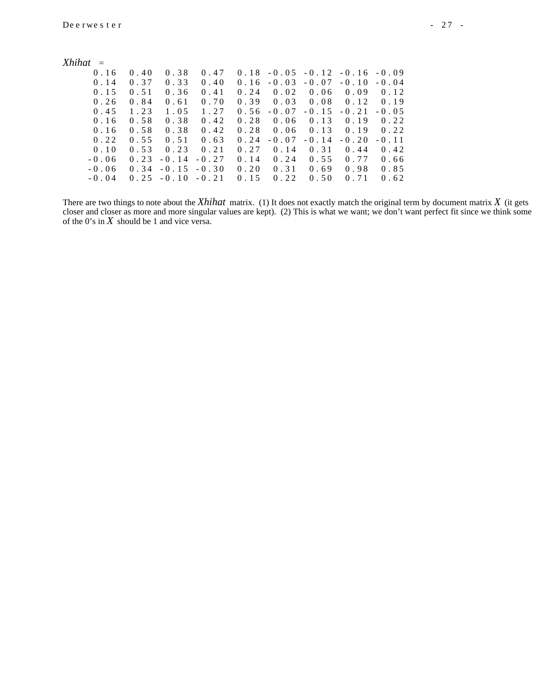| Xhihat |  |
|--------|--|
|--------|--|

| 0.16    | 0.40 | 0.38           | 0.47    |      |         | $0.18 - 0.05 - 0.12 - 0.16 - 0.09$ |         |         |
|---------|------|----------------|---------|------|---------|------------------------------------|---------|---------|
| 0.14    | 0.37 | 0.33           | 0.40    | 0.16 | $-0.03$ | $-0.07$                            | $-0.10$ | $-0.04$ |
| 0.15    | 0.51 | 0.36           | 0.41    | 0.24 | 0.02    | 0.06                               | 0.09    | 0.12    |
| 0.26    | 0.84 | 0.61           | 0.70    | 0.39 | 0.03    | 0.08                               | 0.12    | 0.19    |
| 0.45    | 1.23 | 1.05           | 1.27    | 0.56 | $-0.07$ | $-0.15$                            | $-0.21$ | $-0.05$ |
| 0.16    | 0.58 | 0.38           | 0.42    | 0.28 | 0.06    | 0.13                               | 0.19    | 0.22    |
| 0.16    | 0.58 | 0.38           | 0.42    | 0.28 | 0.06    | 0.13                               | 0.19    | 0.22    |
| 0.22    | 0.55 | 0.51           | 0.63    | 0.24 | $-0.07$ | $-0.14$                            | $-0.20$ | $-0.11$ |
| 0.10    | 0.53 | 0.23           | 0.21    | 0.27 | 0.14    | 0.31                               | 0.44    | 0.42    |
| $-0.06$ | 0.23 | $-0.14 - 0.27$ |         | 0.14 | 0.24    | 0.55                               | 0.77    | 0.66    |
| $-0.06$ | 0.34 | $-0.15 - 0.30$ |         | 0.20 | 0.31    | 0.69                               | 0.98    | 0.85    |
| $-0.04$ |      | $0.25 - 0.10$  | $-0.21$ | 0.15 | 0.22    | 0.50                               | 0.71    | 0.62    |
|         |      |                |         |      |         |                                    |         |         |

There are two things to note about the *Xhihat* matrix. (1) It does not exactly match the original term by document matrix *X* (it gets closer and closer as more and more singular values are kept). (2) This is what we want; we don't want perfect fit since we think some of the  $0$ 's in  $X$  should be 1 and vice versa.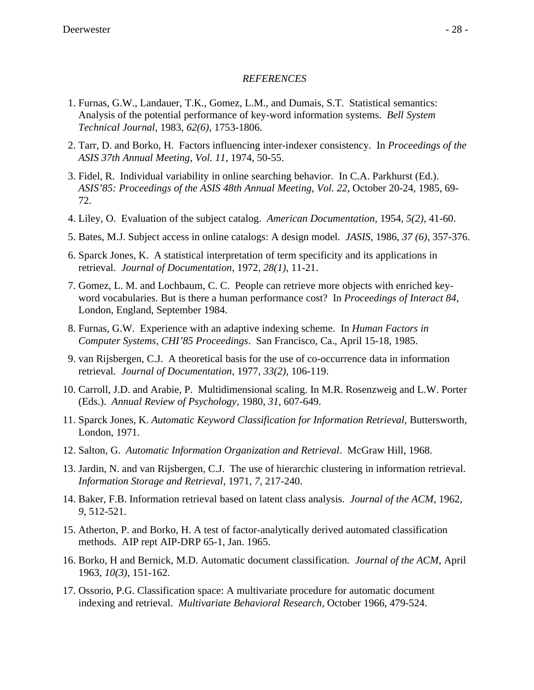## *REFERENCES*

- 1. Furnas, G.W., Landauer, T.K., Gomez, L.M., and Dumais, S.T. Statistical semantics: Analysis of the potential performance of key-word information systems. *Bell System Technical Journal*, 1983, *62(6)*, 1753-1806.
- 2. Tarr, D. and Borko, H. Factors influencing inter-indexer consistency. In *Proceedings of the ASIS 37th Annual Meeting, Vol. 11*, 1974, 50-55.
- 3. Fidel, R. Individual variability in online searching behavior. In C.A. Parkhurst (Ed.). *ASIS'85: Proceedings of the ASIS 48th Annual Meeting, Vol. 22*, October 20-24, 1985, 69- 72.
- 4. Liley, O. Evaluation of the subject catalog. *American Documentation*, 1954, *5(2)*, 41-60.
- 5. Bates, M.J. Subject access in online catalogs: A design model. *JASIS*, 1986, *37 (6)*, 357-376.
- 6. Sparck Jones, K. A statistical interpretation of term specificity and its applications in retrieval. *Journal of Documentation*, 1972, *28(1)*, 11-21.
- 7. Gomez, L. M. and Lochbaum, C. C. People can retrieve more objects with enriched keyword vocabularies. But is there a human performance cost? In *Proceedings of Interact 84*, London, England, September 1984.
- 8. Furnas, G.W. Experience with an adaptive indexing scheme. In *Human Factors in Computer Systems, CHI'85 Proceedings*. San Francisco, Ca., April 15-18, 1985.
- 9. van Rijsbergen, C.J. A theoretical basis for the use of co-occurrence data in information retrieval. *Journal of Documentation*, 1977, *33(2)*, 106-119.
- 10. Carroll, J.D. and Arabie, P. Multidimensional scaling. In M.R. Rosenzweig and L.W. Porter (Eds.). *Annual Review of Psychology*, 1980, *31*, 607-649.
- 11. Sparck Jones, K. *Automatic Keyword Classification for Information Retrieval,* Buttersworth, London, 1971.
- 12. Salton, G. *Automatic Information Organization and Retrieval*. McGraw Hill, 1968.
- 13. Jardin, N. and van Rijsbergen, C.J. The use of hierarchic clustering in information retrieval. *Information Storage and Retrieval*, 1971, *7*, 217-240.
- 14. Baker, F.B. Information retrieval based on latent class analysis. *Journal of the ACM*, 1962, *9*, 512-521.
- 15. Atherton, P. and Borko, H. A test of factor-analytically derived automated classification methods. AIP rept AIP-DRP 65-1, Jan. 1965.
- 16. Borko, H and Bernick, M.D. Automatic document classification. *Journal of the ACM*, April 1963, *10(3)*, 151-162.
- 17. Ossorio, P.G. Classification space: A multivariate procedure for automatic document indexing and retrieval. *Multivariate Behavioral Research*, October 1966, 479-524.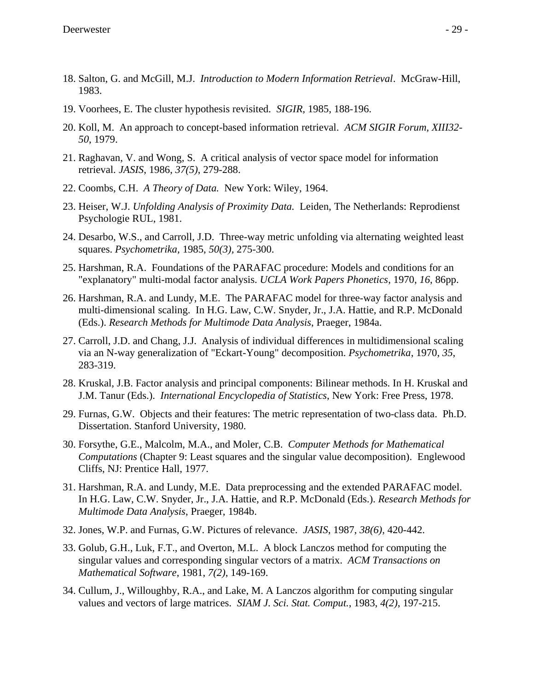- 18. Salton, G. and McGill, M.J. *Introduction to Modern Information Retrieval*. McGraw-Hill, 1983.
- 19. Voorhees, E. The cluster hypothesis revisited. *SIGIR,* 1985, 188-196.
- 20. Koll, M. An approach to concept-based information retrieval. *ACM SIGIR Forum, XIII32- 50*, 1979.
- 21. Raghavan, V. and Wong, S. A critical analysis of vector space model for information retrieval. *JASIS*, 1986, *37(5)*, 279-288.
- 22. Coombs, C.H. *A Theory of Data.* New York: Wiley, 1964.
- 23. Heiser, W.J. *Unfolding Analysis of Proximity Data.* Leiden, The Netherlands: Reprodienst Psychologie RUL, 1981.
- 24. Desarbo, W.S., and Carroll, J.D. Three-way metric unfolding via alternating weighted least squares. *Psychometrika,* 1985, *50(3),* 275-300.
- 25. Harshman, R.A. Foundations of the PARAFAC procedure: Models and conditions for an "explanatory" multi-modal factor analysis. *UCLA Work Papers Phonetics*, 1970, *16*, 86pp.
- 26. Harshman, R.A. and Lundy, M.E. The PARAFAC model for three-way factor analysis and multi-dimensional scaling. In H.G. Law, C.W. Snyder, Jr., J.A. Hattie, and R.P. McDonald (Eds.). *Research Methods for Multimode Data Analysis*, Praeger, 1984a.
- 27. Carroll, J.D. and Chang, J.J. Analysis of individual differences in multidimensional scaling via an N-way generalization of "Eckart-Young" decomposition. *Psychometrika*, 1970, *35*, 283-319.
- 28. Kruskal, J.B. Factor analysis and principal components: Bilinear methods. In H. Kruskal and J.M. Tanur (Eds.). *International Encyclopedia of Statistics*, New York: Free Press, 1978.
- 29. Furnas, G.W. Objects and their features: The metric representation of two-class data. Ph.D. Dissertation. Stanford University, 1980.
- 30. Forsythe, G.E., Malcolm, M.A., and Moler, C.B. *Computer Methods for Mathematical Computations* (Chapter 9: Least squares and the singular value decomposition). Englewood Cliffs, NJ: Prentice Hall, 1977.
- 31. Harshman, R.A. and Lundy, M.E. Data preprocessing and the extended PARAFAC model. In H.G. Law, C.W. Snyder, Jr., J.A. Hattie, and R.P. McDonald (Eds.). *Research Methods for Multimode Data Analysis*, Praeger, 1984b.
- 32. Jones, W.P. and Furnas, G.W. Pictures of relevance. *JASIS*, 1987, *38(6)*, 420-442.
- 33. Golub, G.H., Luk, F.T., and Overton, M.L. A block Lanczos method for computing the singular values and corresponding singular vectors of a matrix. *ACM Transactions on Mathematical Software*, 1981, *7(2)*, 149-169.
- 34. Cullum, J., Willoughby, R.A., and Lake, M. A Lanczos algorithm for computing singular values and vectors of large matrices. *SIAM J. Sci. Stat. Comput.*, 1983, *4(2)*, 197-215.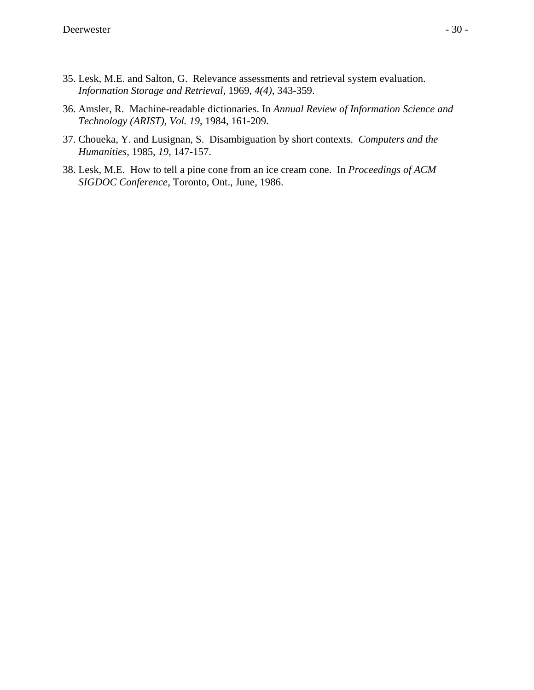- 36. Amsler, R. Machine-readable dictionaries. In *Annual Review of Information Science and Technology (ARIST), Vol. 19*, 1984, 161-209.
- 37. Choueka, Y. and Lusignan, S. Disambiguation by short contexts. *Computers and the Humanities*, 1985, *19*, 147-157.
- 38. Lesk, M.E. How to tell a pine cone from an ice cream cone. In *Proceedings of ACM SIGDOC Conference*, Toronto, Ont., June, 1986.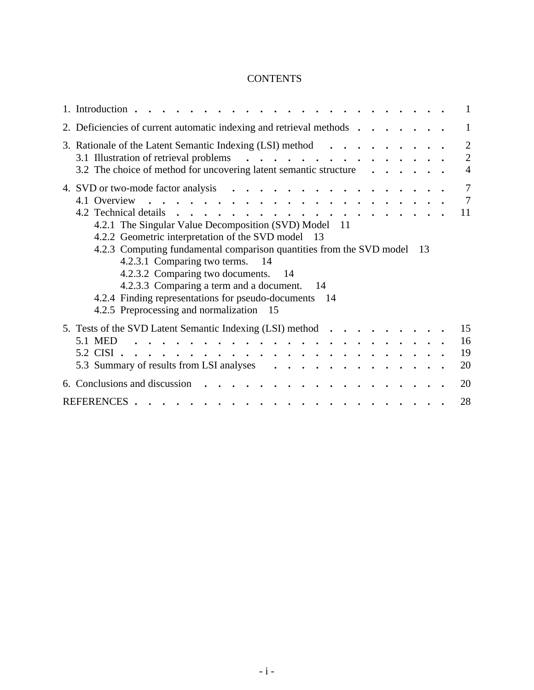# **CONTENTS**

| 1. Introduction.                                                                                                                                                                                                                                                                                                                                                                                                                                                                                                                                                                                                                              |                                                    |
|-----------------------------------------------------------------------------------------------------------------------------------------------------------------------------------------------------------------------------------------------------------------------------------------------------------------------------------------------------------------------------------------------------------------------------------------------------------------------------------------------------------------------------------------------------------------------------------------------------------------------------------------------|----------------------------------------------------|
| 2. Deficiencies of current automatic indexing and retrieval methods $\cdot \cdot \cdot$                                                                                                                                                                                                                                                                                                                                                                                                                                                                                                                                                       | 1                                                  |
| 3. Rationale of the Latent Semantic Indexing (LSI) method<br>$\ddot{\phantom{a}}$<br>3.1 Illustration of retrieval problems<br>$\begin{array}{cccccccccccccc} \bullet & \bullet & \bullet & \bullet & \bullet & \bullet & \bullet & \bullet \end{array}$<br>3.2 The choice of method for uncovering latent semantic structure                                                                                                                                                                                                                                                                                                                 | $\overline{2}$<br>$\overline{2}$<br>$\overline{4}$ |
| 4. SVD or two-mode factor analysis<br>4.1 Overview<br>$\mathbf{r}$ $\mathbf{r}$ $\mathbf{r}$<br>$\sim$<br><b><i>Contract</i></b><br>4.2 Technical details<br>$\sim$ $\sim$ $\sim$ $\sim$ $\sim$ $\sim$<br>4.2.1 The Singular Value Decomposition (SVD) Model 11<br>4.2.2 Geometric interpretation of the SVD model 13<br>4.2.3 Computing fundamental comparison quantities from the SVD model<br>- 13<br>4.2.3.1 Comparing two terms. 14<br>4.2.3.2 Comparing two documents.<br>- 14<br>4.2.3.3 Comparing a term and a document.<br>- 14<br>4.2.4 Finding representations for pseudo-documents 14<br>4.2.5 Preprocessing and normalization 15 | $\overline{7}$<br>$7\phantom{.0}$<br>11            |
| 5. Tests of the SVD Latent Semantic Indexing (LSI) method<br>$\ddot{\phantom{0}}$<br>5.1 MED<br>5.2 CISI<br>$\sim$ $\sim$ $\sim$<br>5.3 Summary of results from LSI analyses                                                                                                                                                                                                                                                                                                                                                                                                                                                                  | 15<br>16<br>19<br>20                               |
| 6. Conclusions and discussion                                                                                                                                                                                                                                                                                                                                                                                                                                                                                                                                                                                                                 | 20                                                 |
| <b>REFERENCES</b>                                                                                                                                                                                                                                                                                                                                                                                                                                                                                                                                                                                                                             | 28                                                 |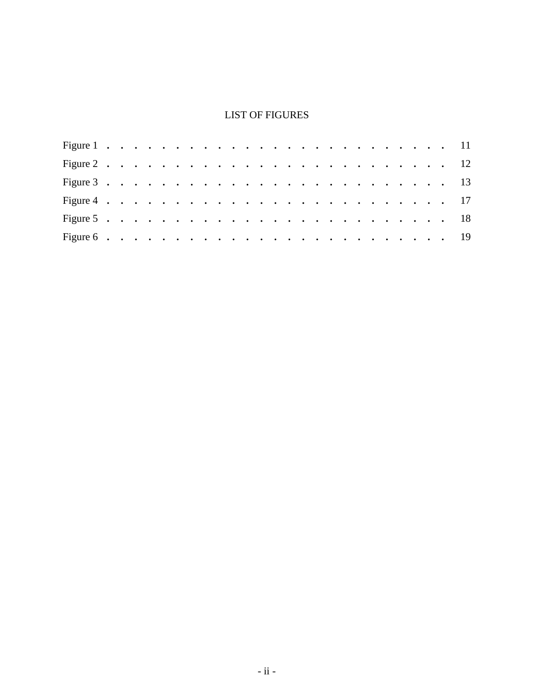# LIST OF FIGURES

| Figure 3 $\ldots$ $\ldots$ $\ldots$ $\ldots$ $\ldots$ $\ldots$ $\ldots$ $\ldots$ $\ldots$ $\ldots$ $\ldots$ $\ldots$ $\ldots$ $\ldots$ $\ldots$ $\ldots$ |  |  |  |  |  |  |  |  |  |  |  |  |  |
|----------------------------------------------------------------------------------------------------------------------------------------------------------|--|--|--|--|--|--|--|--|--|--|--|--|--|
| Figure 4 $\ldots$ $\ldots$ $\ldots$ $\ldots$ $\ldots$ $\ldots$ $\ldots$ $\ldots$ $\ldots$ $\ldots$ $\ldots$ $\ldots$ $\ldots$ $\ldots$ $\ldots$          |  |  |  |  |  |  |  |  |  |  |  |  |  |
| Figure 5 $\ldots$ $\ldots$ $\ldots$ $\ldots$ $\ldots$ $\ldots$ $\ldots$ $\ldots$ $\ldots$ $\ldots$ $\ldots$ $\ldots$ 18                                  |  |  |  |  |  |  |  |  |  |  |  |  |  |
| Figure 6 $\ldots$ $\ldots$ $\ldots$ $\ldots$ $\ldots$ $\ldots$ $\ldots$ $\ldots$ $\ldots$ $\ldots$ $\ldots$ $\ldots$ $\ldots$ $\ldots$ $\ldots$          |  |  |  |  |  |  |  |  |  |  |  |  |  |